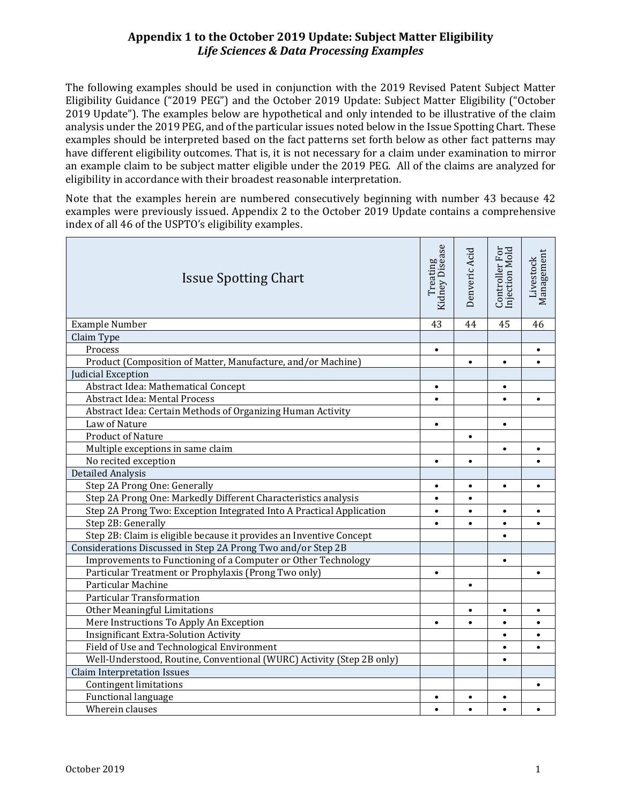The following examples should be used in conjunction with the 2019 Revised Patent Subject Matter Eligibility Guidance ("2019 PEG") and the October 2019 Update: Subject Matter Eligibility ("October 2019 Update"). The examples below are hypothetical and only intended to be illustrative of the claim analysis under the 2019 PEG, and of the particular issues noted below in the Issue Spotting Chart. These examples should be interpreted based on the fact patterns set forth below as other fact patterns may have different eligibility outcomes. That is, it is not necessary for a claim under examination to mirror an example claim to be subject matter eligible under the 2019 PEG. All of the claims are analyzed for eligibility in accordance with their broadest reasonable interpretation.

Note that the examples herein are numbered consecutively beginning with number 43 because 42 examples were previously issued. Appendix 2 to the October 2019 Update contains a comprehensive index of all 46 of the USPTO's eligibility examples.

| <b>Issue Spotting Chart</b>                                           | Treating<br>Kidney Disease | Denveric Acid | Controller For<br>Injection Mold | Management<br>Livestock |
|-----------------------------------------------------------------------|----------------------------|---------------|----------------------------------|-------------------------|
| <b>Example Number</b>                                                 | 43                         | 44            | 45                               | 46                      |
| Claim Type                                                            |                            |               |                                  |                         |
| Process                                                               | $\bullet$                  |               |                                  | $\bullet$               |
| Product (Composition of Matter, Manufacture, and/or Machine)          |                            | $\bullet$     | $\bullet$                        | $\bullet$               |
| Judicial Exception                                                    |                            |               |                                  |                         |
| Abstract Idea: Mathematical Concept                                   | $\bullet$                  |               | $\bullet$                        |                         |
| <b>Abstract Idea: Mental Process</b>                                  | $\bullet$                  |               | $\bullet$                        | $\bullet$               |
| Abstract Idea: Certain Methods of Organizing Human Activity           |                            |               |                                  |                         |
| Law of Nature                                                         | $\bullet$                  |               | $\bullet$                        |                         |
| <b>Product of Nature</b>                                              |                            | $\bullet$     |                                  |                         |
| Multiple exceptions in same claim                                     |                            |               | $\bullet$                        |                         |
| No recited exception                                                  | $\bullet$                  | $\bullet$     |                                  |                         |
| Detailed Analysis                                                     |                            |               |                                  |                         |
| Step 2A Prong One: Generally                                          | $\bullet$                  | $\bullet$     | $\bullet$                        | $\bullet$               |
| Step 2A Prong One: Markedly Different Characteristics analysis        | $\bullet$                  | $\bullet$     |                                  |                         |
| Step 2A Prong Two: Exception Integrated Into A Practical Application  | $\bullet$                  | $\bullet$     | $\bullet$                        | $\bullet$               |
| Step 2B: Generally                                                    | $\bullet$                  | $\bullet$     | $\bullet$                        | $\bullet$               |
| Step 2B: Claim is eligible because it provides an Inventive Concept   |                            |               | $\bullet$                        |                         |
| Considerations Discussed in Step 2A Prong Two and/or Step 2B          |                            |               |                                  |                         |
| Improvements to Functioning of a Computer or Other Technology         |                            |               | $\bullet$                        |                         |
| Particular Treatment or Prophylaxis (Prong Two only)                  | $\bullet$                  |               |                                  | $\bullet$               |
| Particular Machine                                                    |                            | $\bullet$     |                                  |                         |
| <b>Particular Transformation</b>                                      |                            |               |                                  |                         |
| <b>Other Meaningful Limitations</b>                                   |                            | $\bullet$     | $\bullet$                        | $\bullet$               |
| Mere Instructions To Apply An Exception                               | $\bullet$                  | $\bullet$     | $\bullet$                        |                         |
| <b>Insignificant Extra-Solution Activity</b>                          |                            |               | $\bullet$                        |                         |
| Field of Use and Technological Environment                            |                            |               | $\bullet$                        |                         |
| Well-Understood, Routine, Conventional (WURC) Activity (Step 2B only) |                            |               | $\bullet$                        |                         |
| <b>Claim Interpretation Issues</b>                                    |                            |               |                                  |                         |
| <b>Contingent limitations</b>                                         |                            |               |                                  | $\bullet$               |
| Functional language                                                   | $\bullet$                  | $\bullet$     | $\bullet$                        |                         |
| Wherein clauses                                                       | $\bullet$                  | $\bullet$     | $\bullet$                        |                         |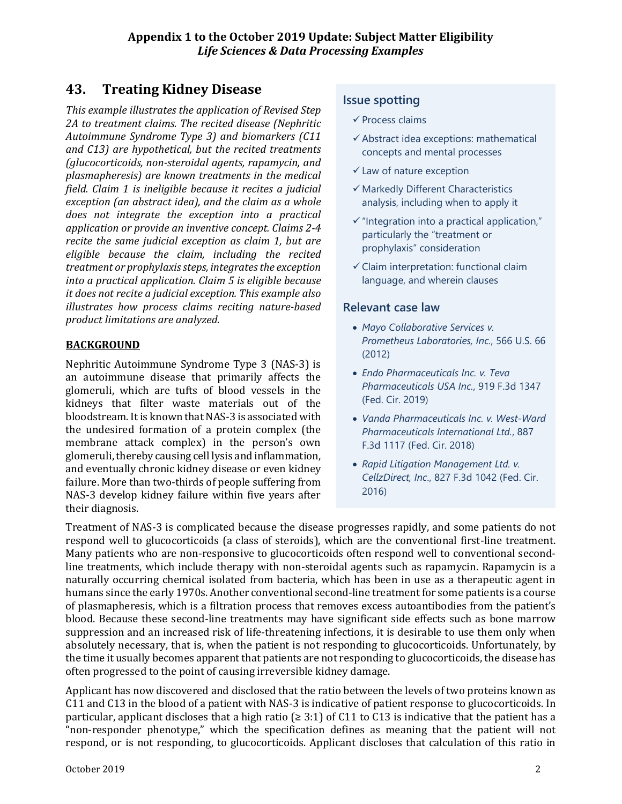# **43. Treating Kidney Disease**

*This example illustrates the application of Revised Step 2A to treatment claims. The recited disease (Nephritic Autoimmune Syndrome Type 3) and biomarkers (C11 and C13) are hypothetical, but the recited treatments (glucocorticoids, non-steroidal agents, rapamycin, and plasmapheresis) are known treatments in the medical field. Claim 1 is ineligible because it recites a judicial exception (an abstract idea), and the claim as a whole does not integrate the exception into a practical application or provide an inventive concept. Claims 2-4 recite the same judicial exception as claim 1, but are eligible because the claim, including the recited treatment or prophylaxis steps, integratesthe exception into a practical application. Claim 5 is eligible because it does not recite a judicial exception. This example also illustrates how process claims reciting nature-based product limitations are analyzed.*

#### **BACKGROUND**

Nephritic Autoimmune Syndrome Type 3 (NAS-3) is an autoimmune disease that primarily affects the glomeruli, which are tufts of blood vessels in the kidneys that filter waste materials out of the bloodstream. It is known that NAS-3 is associated with the undesired formation of a protein complex (the membrane attack complex) in the person's own glomeruli, thereby causing cell lysis and inflammation, and eventually chronic kidney disease or even kidney failure. More than two-thirds of people suffering from NAS-3 develop kidney failure within five years after their diagnosis.

# **Issue spotting**

- $\checkmark$  Process claims
- $\checkmark$  Abstract idea exceptions: mathematical concepts and mental processes
- $\checkmark$  Law of nature exception
- $\checkmark$  Markedly Different Characteristics analysis, including when to apply it
- $\checkmark$  "Integration into a practical application," particularly the "treatment or prophylaxis" consideration
- $\checkmark$  Claim interpretation: functional claim language, and wherein clauses

#### **Relevant case law**

- *Mayo Collaborative Services v. Prometheus Laboratories, Inc.*, 566 U.S. 66 (2012)
- *Endo Pharmaceuticals Inc. v. Teva Pharmaceuticals USA Inc.*, 919 F.3d 1347 (Fed. Cir. 2019)
- *Vanda Pharmaceuticals Inc. v. West-Ward Pharmaceuticals International Ltd.*, 887 F.3d 1117 (Fed. Cir. 2018)
- *Rapid Litigation Management Ltd. v. CellzDirect, Inc*., 827 F.3d 1042 (Fed. Cir. 2016)

Treatment of NAS-3 is complicated because the disease progresses rapidly, and some patients do not respond well to glucocorticoids (a class of steroids), which are the conventional first-line treatment. Many patients who are non-responsive to glucocorticoids often respond well to conventional secondline treatments, which include therapy with non-steroidal agents such as rapamycin. Rapamycin is a naturally occurring chemical isolated from bacteria, which has been in use as a therapeutic agent in humans since the early 1970s. Another conventional second-line treatment for some patients is a course of plasmapheresis, which is a filtration process that removes excess autoantibodies from the patient's blood. Because these second-line treatments may have significant side effects such as bone marrow suppression and an increased risk of life-threatening infections, it is desirable to use them only when absolutely necessary, that is, when the patient is not responding to glucocorticoids. Unfortunately, by the time it usually becomes apparent that patients are not responding to glucocorticoids, the disease has often progressed to the point of causing irreversible kidney damage.

Applicant has now discovered and disclosed that the ratio between the levels of two proteins known as C11 and C13 in the blood of a patient with NAS-3 is indicative of patient response to glucocorticoids. In particular, applicant discloses that a high ratio ( $\geq$  3:1) of C11 to C13 is indicative that the patient has a "non-responder phenotype," which the specification defines as meaning that the patient will not respond, or is not responding, to glucocorticoids. Applicant discloses that calculation of this ratio in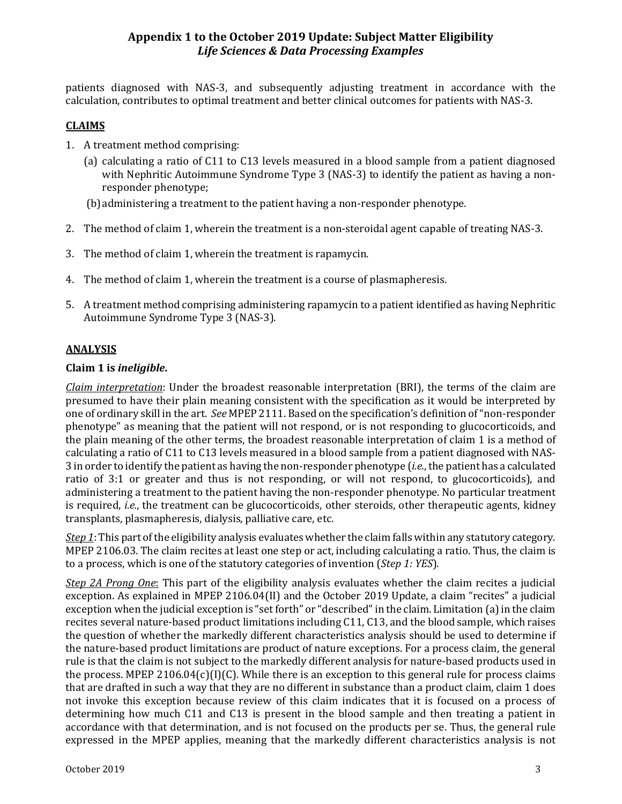patients diagnosed with NAS-3, and subsequently adjusting treatment in accordance with the calculation, contributes to optimal treatment and better clinical outcomes for patients with NAS-3.

## **CLAIMS**

- 1. A treatment method comprising:
	- (a) calculating a ratio of C11 to C13 levels measured in a blood sample from a patient diagnosed with Nephritic Autoimmune Syndrome Type 3 (NAS-3) to identify the patient as having a nonresponder phenotype;

(b)administering a treatment to the patient having a non-responder phenotype.

- 2. The method of claim 1, wherein the treatment is a non-steroidal agent capable of treating NAS-3.
- 3. The method of claim 1, wherein the treatment is rapamycin.
- 4. The method of claim 1, wherein the treatment is a course of plasmapheresis.
- 5. A treatment method comprising administering rapamycin to a patient identified as having Nephritic Autoimmune Syndrome Type 3 (NAS-3).

#### **ANALYSIS**

#### **Claim 1 is** *ineligible***.**

*Claim interpretation*: Under the broadest reasonable interpretation (BRI), the terms of the claim are presumed to have their plain meaning consistent with the specification as it would be interpreted by one of ordinary skill in the art. *See* MPEP 2111. Based on the specification's definition of "non-responder phenotype" as meaning that the patient will not respond, or is not responding to glucocorticoids, and the plain meaning of the other terms, the broadest reasonable interpretation of claim 1 is a method of calculating a ratio of C11 to C13 levels measured in a blood sample from a patient diagnosed with NAS-3 in order to identify the patient as having the non-responder phenotype (*i.e.*, the patient has a calculated ratio of 3:1 or greater and thus is not responding, or will not respond, to glucocorticoids), and administering a treatment to the patient having the non-responder phenotype. No particular treatment is required, *i.e.*, the treatment can be glucocorticoids, other steroids, other therapeutic agents, kidney transplants, plasmapheresis, dialysis, palliative care, etc.

*Step 1*: This part of the eligibility analysis evaluates whether the claim falls within any statutory category. MPEP 2106.03. The claim recites at least one step or act, including calculating a ratio. Thus, the claim is to a process, which is one of the statutory categories of invention (*Step 1: YES*).

*Step 2A Prong One*: This part of the eligibility analysis evaluates whether the claim recites a judicial exception. As explained in MPEP 2106.04(II) and the October 2019 Update, a claim "recites" a judicial exception when the judicial exception is "set forth" or "described" in the claim. Limitation (a) in the claim recites several nature-based product limitations including C11, C13, and the blood sample, which raises the question of whether the markedly different characteristics analysis should be used to determine if the nature-based product limitations are product of nature exceptions. For a process claim, the general rule is that the claim is not subject to the markedly different analysis for nature-based products used in the process. MPEP 2106.04 $(c)[1](C)$ . While there is an exception to this general rule for process claims that are drafted in such a way that they are no different in substance than a product claim, claim 1 does not invoke this exception because review of this claim indicates that it is focused on a process of determining how much C11 and C13 is present in the blood sample and then treating a patient in accordance with that determination, and is not focused on the products per se. Thus, the general rule expressed in the MPEP applies, meaning that the markedly different characteristics analysis is not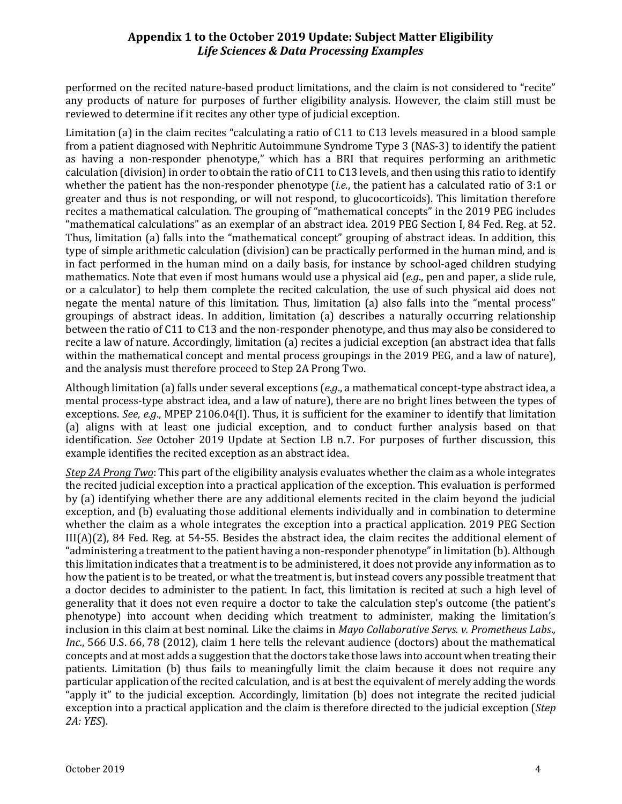performed on the recited nature-based product limitations, and the claim is not considered to "recite" any products of nature for purposes of further eligibility analysis. However, the claim still must be reviewed to determine if it recites any other type of judicial exception.

Limitation (a) in the claim recites "calculating a ratio of C11 to C13 levels measured in a blood sample from a patient diagnosed with Nephritic Autoimmune Syndrome Type 3 (NAS-3) to identify the patient as having a non-responder phenotype," which has a BRI that requires performing an arithmetic calculation (division) in order to obtain the ratio of C11 to C13 levels, and then using this ratio to identify whether the patient has the non-responder phenotype (*i.e.*, the patient has a calculated ratio of 3:1 or greater and thus is not responding, or will not respond, to glucocorticoids). This limitation therefore recites a mathematical calculation. The grouping of "mathematical concepts" in the 2019 PEG includes "mathematical calculations" as an exemplar of an abstract idea. 2019 PEG Section I, 84 Fed. Reg. at 52. Thus, limitation (a) falls into the "mathematical concept" grouping of abstract ideas. In addition, this type of simple arithmetic calculation (division) can be practically performed in the human mind, and is in fact performed in the human mind on a daily basis, for instance by school-aged children studying mathematics. Note that even if most humans would use a physical aid (*e.g*., pen and paper, a slide rule, or a calculator) to help them complete the recited calculation, the use of such physical aid does not negate the mental nature of this limitation. Thus, limitation (a) also falls into the "mental process" groupings of abstract ideas. In addition, limitation (a) describes a naturally occurring relationship between the ratio of C11 to C13 and the non-responder phenotype, and thus may also be considered to recite a law of nature. Accordingly, limitation (a) recites a judicial exception (an abstract idea that falls within the mathematical concept and mental process groupings in the 2019 PEG, and a law of nature), and the analysis must therefore proceed to Step 2A Prong Two.

Although limitation (a) falls under several exceptions (*e.g*., a mathematical concept-type abstract idea, a mental process-type abstract idea, and a law of nature), there are no bright lines between the types of exceptions. *See, e.g*., MPEP 2106.04(I). Thus, it is sufficient for the examiner to identify that limitation (a) aligns with at least one judicial exception, and to conduct further analysis based on that identification. *See* October 2019 Update at Section I.B n.7. For purposes of further discussion, this example identifies the recited exception as an abstract idea.

*Step 2A Prong Two*: This part of the eligibility analysis evaluates whether the claim as a whole integrates the recited judicial exception into a practical application of the exception. This evaluation is performed by (a) identifying whether there are any additional elements recited in the claim beyond the judicial exception, and (b) evaluating those additional elements individually and in combination to determine whether the claim as a whole integrates the exception into a practical application. 2019 PEG Section III(A)(2), 84 Fed. Reg. at 54-55. Besides the abstract idea, the claim recites the additional element of "administering a treatment to the patient having a non-responder phenotype" in limitation (b). Although this limitation indicates that a treatment is to be administered, it does not provide any information as to how the patient is to be treated, or what the treatment is, but instead covers any possible treatment that a doctor decides to administer to the patient. In fact, this limitation is recited at such a high level of generality that it does not even require a doctor to take the calculation step's outcome (the patient's phenotype) into account when deciding which treatment to administer, making the limitation's inclusion in this claim at best nominal. Like the claims in *Mayo Collaborative Servs. v. Prometheus Labs*.*, Inc.*, 566 U.S. 66, 78 (2012), claim 1 here tells the relevant audience (doctors) about the mathematical concepts and at most adds a suggestion that the doctors take those laws into account when treating their patients. Limitation (b) thus fails to meaningfully limit the claim because it does not require any particular application of the recited calculation, and is at best the equivalent of merely adding the words "apply it" to the judicial exception. Accordingly, limitation (b) does not integrate the recited judicial exception into a practical application and the claim is therefore directed to the judicial exception (*Step 2A: YES*).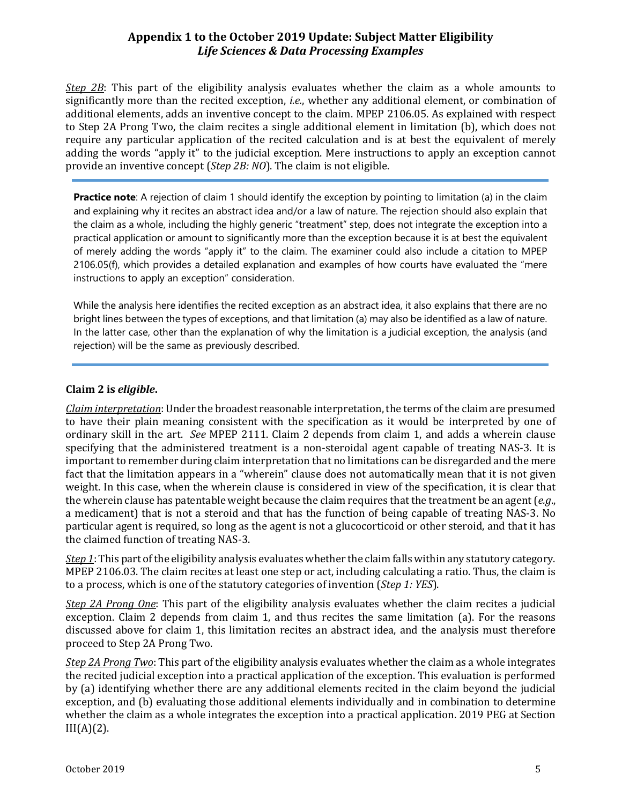*Step 2B*: This part of the eligibility analysis evaluates whether the claim as a whole amounts to significantly more than the recited exception, *i.e.*, whether any additional element, or combination of additional elements, adds an inventive concept to the claim. MPEP 2106.05. As explained with respect to Step 2A Prong Two, the claim recites a single additional element in limitation (b), which does not require any particular application of the recited calculation and is at best the equivalent of merely adding the words "apply it" to the judicial exception. Mere instructions to apply an exception cannot provide an inventive concept (*Step 2B: NO*). The claim is not eligible.

**Practice note**: A rejection of claim 1 should identify the exception by pointing to limitation (a) in the claim and explaining why it recites an abstract idea and/or a law of nature. The rejection should also explain that the claim as a whole, including the highly generic "treatment" step, does not integrate the exception into a practical application or amount to significantly more than the exception because it is at best the equivalent of merely adding the words "apply it" to the claim. The examiner could also include a citation to MPEP 2106.05(f), which provides a detailed explanation and examples of how courts have evaluated the "mere instructions to apply an exception" consideration.

While the analysis here identifies the recited exception as an abstract idea, it also explains that there are no bright lines between the types of exceptions, and that limitation (a) may also be identified as a law of nature. In the latter case, other than the explanation of why the limitation is a judicial exception, the analysis (and rejection) will be the same as previously described.

#### **Claim 2 is** *eligible***.**

*Claim interpretation*: Under the broadest reasonable interpretation, the terms of the claim are presumed to have their plain meaning consistent with the specification as it would be interpreted by one of ordinary skill in the art. *See* MPEP 2111. Claim 2 depends from claim 1, and adds a wherein clause specifying that the administered treatment is a non-steroidal agent capable of treating NAS-3. It is important to remember during claim interpretation that no limitations can be disregarded and the mere fact that the limitation appears in a "wherein" clause does not automatically mean that it is not given weight. In this case, when the wherein clause is considered in view of the specification, it is clear that the wherein clause has patentable weight because the claim requires that the treatment be an agent (*e.g*., a medicament) that is not a steroid and that has the function of being capable of treating NAS-3. No particular agent is required, so long as the agent is not a glucocorticoid or other steroid, and that it has the claimed function of treating NAS-3.

*Step 1*: This part of the eligibility analysis evaluates whether the claim falls within any statutory category. MPEP 2106.03. The claim recites at least one step or act, including calculating a ratio. Thus, the claim is to a process, which is one of the statutory categories of invention (*Step 1: YES*).

*Step 2A Prong One*: This part of the eligibility analysis evaluates whether the claim recites a judicial exception. Claim 2 depends from claim 1, and thus recites the same limitation (a). For the reasons discussed above for claim 1, this limitation recites an abstract idea, and the analysis must therefore proceed to Step 2A Prong Two.

*Step 2A Prong Two*: This part of the eligibility analysis evaluates whether the claim as a whole integrates the recited judicial exception into a practical application of the exception. This evaluation is performed by (a) identifying whether there are any additional elements recited in the claim beyond the judicial exception, and (b) evaluating those additional elements individually and in combination to determine whether the claim as a whole integrates the exception into a practical application. 2019 PEG at Section  $III(A)(2)$ .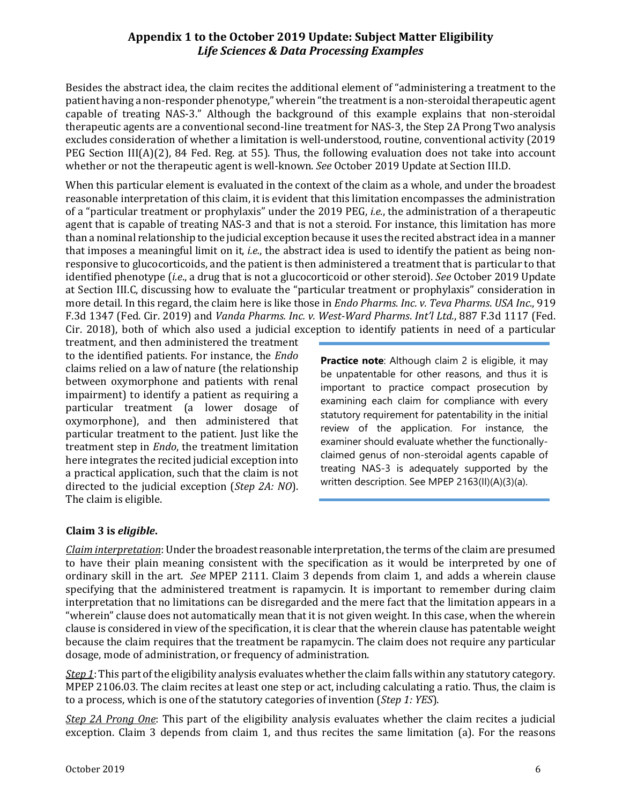Besides the abstract idea, the claim recites the additional element of "administering a treatment to the patient having a non-responder phenotype," wherein "the treatment is a non-steroidal therapeutic agent capable of treating NAS-3." Although the background of this example explains that non-steroidal therapeutic agents are a conventional second-line treatment for NAS-3, the Step 2A Prong Two analysis excludes consideration of whether a limitation is well-understood, routine, conventional activity (2019 PEG Section III(A)(2), 84 Fed. Reg. at 55). Thus, the following evaluation does not take into account whether or not the therapeutic agent is well-known. *See* October 2019 Update at Section III.D.

When this particular element is evaluated in the context of the claim as a whole, and under the broadest reasonable interpretation of this claim, it is evident that this limitation encompasses the administration of a "particular treatment or prophylaxis" under the 2019 PEG, *i.e.*, the administration of a therapeutic agent that is capable of treating NAS-3 and that is not a steroid. For instance, this limitation has more than a nominal relationship to the judicial exception because it uses the recited abstract idea in a manner that imposes a meaningful limit on it, *i.e.*, the abstract idea is used to identify the patient as being nonresponsive to glucocorticoids, and the patient is then administered a treatment that is particular to that identified phenotype (*i.e*., a drug that is not a glucocorticoid or other steroid). *See* October 2019 Update at Section III.C, discussing how to evaluate the "particular treatment or prophylaxis" consideration in more detail. In this regard, the claim here is like those in *Endo Pharms. Inc. v. Teva Pharms*. *USA Inc.*, 919 F.3d 1347 (Fed. Cir. 2019) and *Vanda Pharms. Inc. v. West-Ward Pharms*. *Int'l Ltd.*, 887 F.3d 1117 (Fed. Cir. 2018), both of which also used a judicial exception to identify patients in need of a particular

treatment, and then administered the treatment to the identified patients. For instance, the *Endo* claims relied on a law of nature (the relationship between oxymorphone and patients with renal impairment) to identify a patient as requiring a particular treatment (a lower dosage of oxymorphone), and then administered that particular treatment to the patient. Just like the treatment step in *Endo*, the treatment limitation here integrates the recited judicial exception into a practical application, such that the claim is not directed to the judicial exception (*Step 2A: NO*). The claim is eligible.

**Practice note**: Although claim 2 is eligible, it may be unpatentable for other reasons, and thus it is important to practice compact prosecution by examining each claim for compliance with every statutory requirement for patentability in the initial review of the application. For instance, the examiner should evaluate whether the functionallyclaimed genus of non-steroidal agents capable of treating NAS-3 is adequately supported by the written description. See MPEP 2163(II)(A)(3)(a).

#### **Claim 3 is** *eligible***.**

*Claim interpretation*: Under the broadest reasonable interpretation, the terms of the claim are presumed to have their plain meaning consistent with the specification as it would be interpreted by one of ordinary skill in the art. *See* MPEP 2111. Claim 3 depends from claim 1, and adds a wherein clause specifying that the administered treatment is rapamycin. It is important to remember during claim interpretation that no limitations can be disregarded and the mere fact that the limitation appears in a "wherein" clause does not automatically mean that it is not given weight. In this case, when the wherein clause is considered in view of the specification, it is clear that the wherein clause has patentable weight because the claim requires that the treatment be rapamycin. The claim does not require any particular dosage, mode of administration, or frequency of administration.

*Step 1*: This part of the eligibility analysis evaluates whether the claim falls within any statutory category. MPEP 2106.03. The claim recites at least one step or act, including calculating a ratio. Thus, the claim is to a process, which is one of the statutory categories of invention (*Step 1: YES*).

*Step 2A Prong One*: This part of the eligibility analysis evaluates whether the claim recites a judicial exception. Claim 3 depends from claim 1, and thus recites the same limitation (a). For the reasons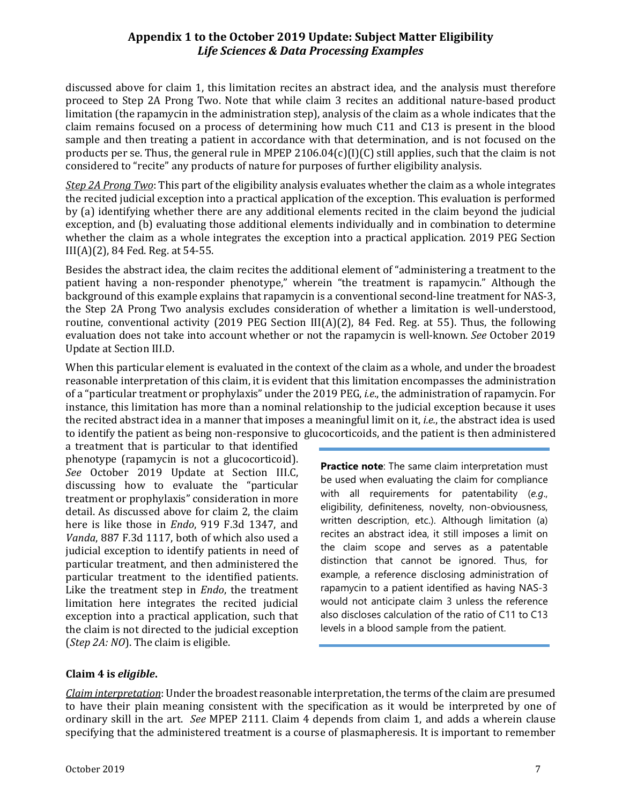discussed above for claim 1, this limitation recites an abstract idea, and the analysis must therefore proceed to Step 2A Prong Two. Note that while claim 3 recites an additional nature-based product limitation (the rapamycin in the administration step), analysis of the claim as a whole indicates that the claim remains focused on a process of determining how much C11 and C13 is present in the blood sample and then treating a patient in accordance with that determination, and is not focused on the products per se. Thus, the general rule in MPEP 2106.04(c)(I)(C) still applies, such that the claim is not considered to "recite" any products of nature for purposes of further eligibility analysis.

*Step 2A Prong Two*: This part of the eligibility analysis evaluates whether the claim as a whole integrates the recited judicial exception into a practical application of the exception. This evaluation is performed by (a) identifying whether there are any additional elements recited in the claim beyond the judicial exception, and (b) evaluating those additional elements individually and in combination to determine whether the claim as a whole integrates the exception into a practical application. 2019 PEG Section III(A)(2), 84 Fed. Reg. at 54-55.

Besides the abstract idea, the claim recites the additional element of "administering a treatment to the patient having a non-responder phenotype," wherein "the treatment is rapamycin." Although the background of this example explains that rapamycin is a conventional second-line treatment for NAS-3, the Step 2A Prong Two analysis excludes consideration of whether a limitation is well-understood, routine, conventional activity (2019 PEG Section III(A)(2), 84 Fed. Reg. at 55). Thus, the following evaluation does not take into account whether or not the rapamycin is well-known. *See* October 2019 Update at Section III.D.

When this particular element is evaluated in the context of the claim as a whole, and under the broadest reasonable interpretation of this claim, it is evident that this limitation encompasses the administration of a "particular treatment or prophylaxis" under the 2019 PEG, *i.e*., the administration of rapamycin. For instance, this limitation has more than a nominal relationship to the judicial exception because it uses the recited abstract idea in a manner that imposes a meaningful limit on it, *i.e.*, the abstract idea is used to identify the patient as being non-responsive to glucocorticoids, and the patient is then administered

a treatment that is particular to that identified phenotype (rapamycin is not a glucocorticoid). *See* October 2019 Update at Section III.C, discussing how to evaluate the "particular treatment or prophylaxis" consideration in more detail. As discussed above for claim 2, the claim here is like those in *Endo*, 919 F.3d 1347, and *Vanda*, 887 F.3d 1117, both of which also used a judicial exception to identify patients in need of particular treatment, and then administered the particular treatment to the identified patients. Like the treatment step in *Endo*, the treatment limitation here integrates the recited judicial exception into a practical application, such that the claim is not directed to the judicial exception (*Step 2A: NO*). The claim is eligible.

**Practice note**: The same claim interpretation must be used when evaluating the claim for compliance with all requirements for patentability (*e.g*., eligibility, definiteness, novelty, non-obviousness, written description, etc.). Although limitation (a) recites an abstract idea, it still imposes a limit on the claim scope and serves as a patentable distinction that cannot be ignored. Thus, for example, a reference disclosing administration of rapamycin to a patient identified as having NAS-3 would not anticipate claim 3 unless the reference also discloses calculation of the ratio of C11 to C13 levels in a blood sample from the patient.

#### **Claim 4 is** *eligible***.**

*Claim interpretation*: Under the broadest reasonable interpretation, the terms of the claim are presumed to have their plain meaning consistent with the specification as it would be interpreted by one of ordinary skill in the art. *See* MPEP 2111. Claim 4 depends from claim 1, and adds a wherein clause specifying that the administered treatment is a course of plasmapheresis. It is important to remember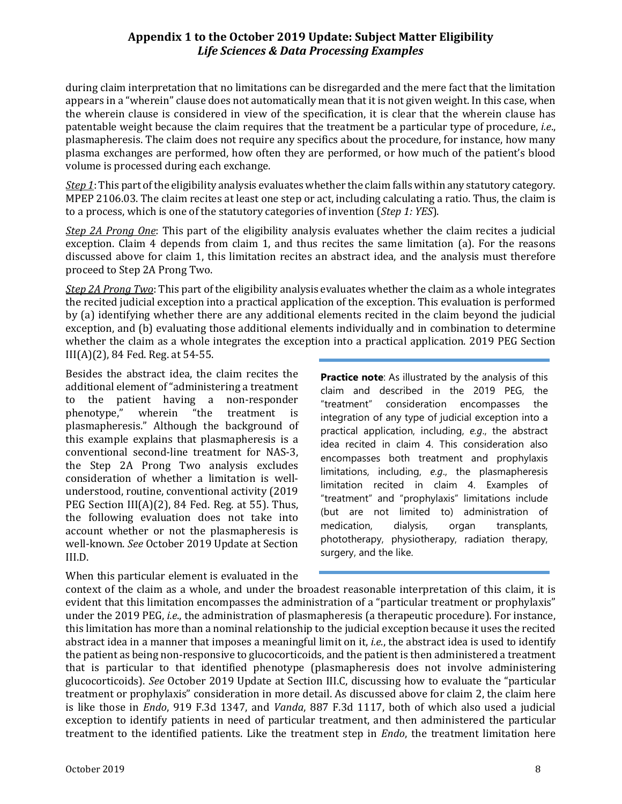during claim interpretation that no limitations can be disregarded and the mere fact that the limitation appears in a "wherein" clause does not automatically mean that it is not given weight. In this case, when the wherein clause is considered in view of the specification, it is clear that the wherein clause has patentable weight because the claim requires that the treatment be a particular type of procedure, *i.e*., plasmapheresis. The claim does not require any specifics about the procedure, for instance, how many plasma exchanges are performed, how often they are performed, or how much of the patient's blood volume is processed during each exchange.

*Step 1*: This part of the eligibility analysis evaluates whether the claim falls within any statutory category. MPEP 2106.03. The claim recites at least one step or act, including calculating a ratio. Thus, the claim is to a process, which is one of the statutory categories of invention (*Step 1: YES*).

*Step 2A Prong One*: This part of the eligibility analysis evaluates whether the claim recites a judicial exception. Claim 4 depends from claim 1, and thus recites the same limitation (a). For the reasons discussed above for claim 1, this limitation recites an abstract idea, and the analysis must therefore proceed to Step 2A Prong Two.

*Step 2A Prong Two*: This part of the eligibility analysis evaluates whether the claim as a whole integrates the recited judicial exception into a practical application of the exception. This evaluation is performed by (a) identifying whether there are any additional elements recited in the claim beyond the judicial exception, and (b) evaluating those additional elements individually and in combination to determine whether the claim as a whole integrates the exception into a practical application. 2019 PEG Section III(A)(2), 84 Fed. Reg. at 54-55.

Besides the abstract idea, the claim recites the additional element of "administering a treatment<br>to the patient having a non-responder the patient having a non-responder<br>notype," wherein "the treatment is phenotype," plasmapheresis." Although the background of this example explains that plasmapheresis is a conventional second-line treatment for NAS-3, the Step 2A Prong Two analysis excludes consideration of whether a limitation is wellunderstood, routine, conventional activity (2019 PEG Section  $III(A)(2)$ , 84 Fed. Reg. at 55). Thus, the following evaluation does not take into account whether or not the plasmapheresis is well-known. *See* October 2019 Update at Section III.D.

When this particular element is evaluated in the

**Practice note:** As illustrated by the analysis of this claim and described in the 2019 PEG, the "treatment" consideration encompasses the integration of any type of judicial exception into a practical application, including, *e.g*., the abstract idea recited in claim 4. This consideration also encompasses both treatment and prophylaxis limitations, including, *e.g*., the plasmapheresis limitation recited in claim 4. Examples of "treatment" and "prophylaxis" limitations include (but are not limited to) administration of medication, dialysis, organ transplants, phototherapy, physiotherapy, radiation therapy, surgery, and the like.

context of the claim as a whole, and under the broadest reasonable interpretation of this claim, it is evident that this limitation encompasses the administration of a "particular treatment or prophylaxis" under the 2019 PEG, *i.e*., the administration of plasmapheresis (a therapeutic procedure). For instance, this limitation has more than a nominal relationship to the judicial exception because it uses the recited abstract idea in a manner that imposes a meaningful limit on it, *i.e.*, the abstract idea is used to identify the patient as being non-responsive to glucocorticoids, and the patient is then administered a treatment that is particular to that identified phenotype (plasmapheresis does not involve administering glucocorticoids). *See* October 2019 Update at Section III.C, discussing how to evaluate the "particular treatment or prophylaxis" consideration in more detail. As discussed above for claim 2, the claim here is like those in *Endo*, 919 F.3d 1347, and *Vanda*, 887 F.3d 1117, both of which also used a judicial exception to identify patients in need of particular treatment, and then administered the particular treatment to the identified patients. Like the treatment step in *Endo*, the treatment limitation here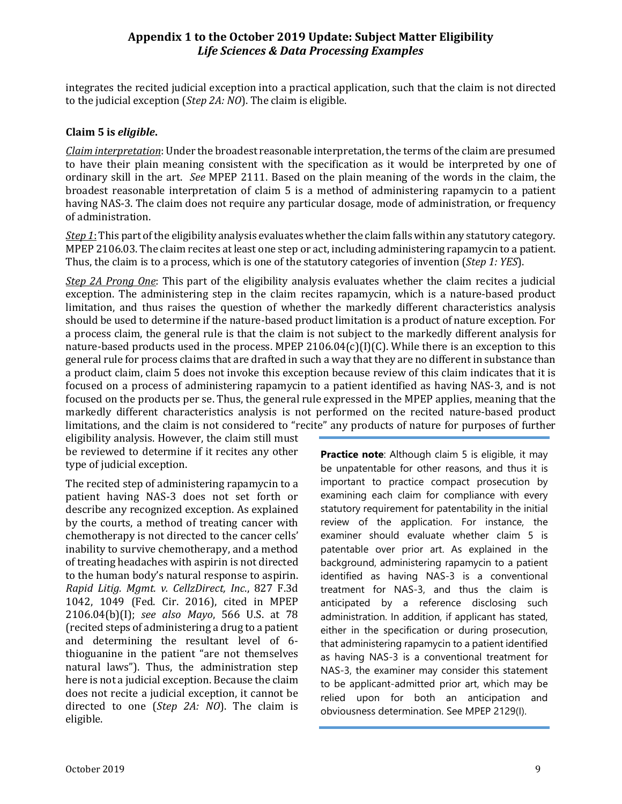integrates the recited judicial exception into a practical application, such that the claim is not directed to the judicial exception (*Step 2A: NO*). The claim is eligible.

#### **Claim 5 is** *eligible***.**

*Claim interpretation*: Under the broadest reasonable interpretation, the terms of the claim are presumed to have their plain meaning consistent with the specification as it would be interpreted by one of ordinary skill in the art. *See* MPEP 2111. Based on the plain meaning of the words in the claim, the broadest reasonable interpretation of claim 5 is a method of administering rapamycin to a patient having NAS-3. The claim does not require any particular dosage, mode of administration, or frequency of administration.

*Step 1*: This part of the eligibility analysis evaluates whether the claim falls within any statutory category. MPEP 2106.03. The claim recites at least one step or act, including administering rapamycin to a patient. Thus, the claim is to a process, which is one of the statutory categories of invention (*Step 1: YES*).

*Step 2A Prong One*: This part of the eligibility analysis evaluates whether the claim recites a judicial exception. The administering step in the claim recites rapamycin, which is a nature-based product limitation, and thus raises the question of whether the markedly different characteristics analysis should be used to determine if the nature-based product limitation is a product of nature exception. For a process claim, the general rule is that the claim is not subject to the markedly different analysis for nature-based products used in the process. MPEP 2106.04 $(c)(I)(C)$ . While there is an exception to this general rule for process claims that are drafted in such a way that they are no different in substance than a product claim, claim 5 does not invoke this exception because review of this claim indicates that it is focused on a process of administering rapamycin to a patient identified as having NAS-3, and is not focused on the products per se. Thus, the general rule expressed in the MPEP applies, meaning that the markedly different characteristics analysis is not performed on the recited nature-based product limitations, and the claim is not considered to "recite" any products of nature for purposes of further

eligibility analysis. However, the claim still must be reviewed to determine if it recites any other type of judicial exception.

The recited step of administering rapamycin to a patient having NAS-3 does not set forth or describe any recognized exception. As explained by the courts, a method of treating cancer with chemotherapy is not directed to the cancer cells' inability to survive chemotherapy, and a method of treating headaches with aspirin is not directed to the human body's natural response to aspirin. *Rapid Litig. Mgmt. v. CellzDirect, Inc*., 827 F.3d 1042, 1049 (Fed. Cir. 2016), cited in MPEP 2106.04(b)(I); *see also Mayo*, 566 U.S. at 78 (recited steps of administering a drug to a patient and determining the resultant level of 6 thioguanine in the patient "are not themselves natural laws"). Thus, the administration step here is not a judicial exception. Because the claim does not recite a judicial exception, it cannot be directed to one (*Step 2A: NO*). The claim is eligible.

**Practice note:** Although claim 5 is eligible, it may be unpatentable for other reasons, and thus it is important to practice compact prosecution by examining each claim for compliance with every statutory requirement for patentability in the initial review of the application. For instance, the examiner should evaluate whether claim 5 is patentable over prior art. As explained in the background, administering rapamycin to a patient identified as having NAS-3 is a conventional treatment for NAS-3, and thus the claim is anticipated by a reference disclosing such administration. In addition, if applicant has stated, either in the specification or during prosecution, that administering rapamycin to a patient identified as having NAS-3 is a conventional treatment for NAS-3, the examiner may consider this statement to be applicant-admitted prior art, which may be relied upon for both an anticipation and obviousness determination. See MPEP 2129(I).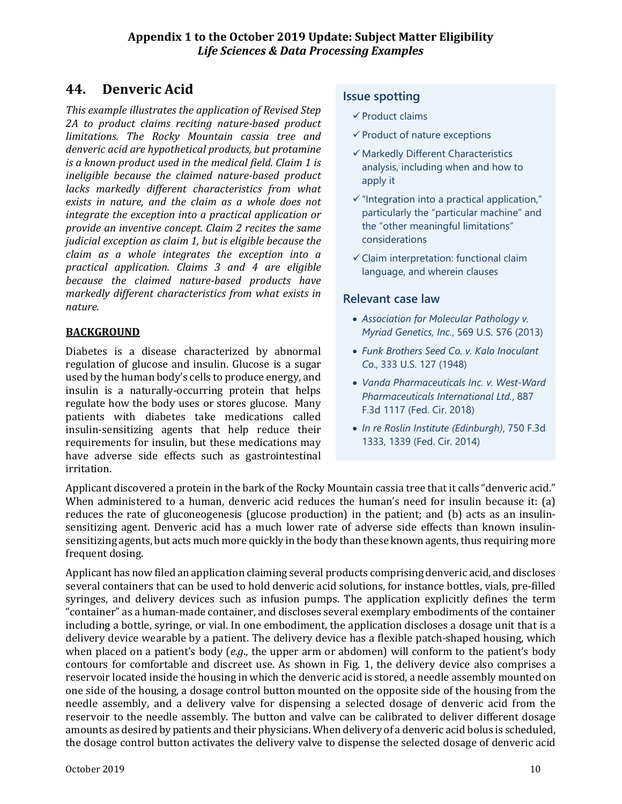# **44. Denveric Acid**

*This example illustrates the application of Revised Step 2A to product claims reciting nature-based product limitations. The Rocky Mountain cassia tree and denveric acid are hypothetical products, but protamine is a known product used in the medical field. Claim 1 is ineligible because the claimed nature-based product lacks markedly different characteristics from what exists in nature, and the claim as a whole does not integrate the exception into a practical application or provide an inventive concept. Claim 2 recites the same judicial exception as claim 1, but is eligible because the claim as a whole integrates the exception into a practical application. Claims 3 and 4 are eligible because the claimed nature-based products have markedly different characteristics from what exists in nature.*

# **BACKGROUND**

Diabetes is a disease characterized by abnormal regulation of glucose and insulin. Glucose is a sugar used by the human body's cells to produce energy, and insulin is a naturally-occurring protein that helps regulate how the body uses or stores glucose. Many patients with diabetes take medications called insulin-sensitizing agents that help reduce their requirements for insulin, but these medications may have adverse side effects such as gastrointestinal irritation.

# **Issue spotting**

- $\checkmark$  Product claims
- $\checkmark$  Product of nature exceptions
- $\checkmark$  Markedly Different Characteristics analysis, including when and how to apply it
- $\checkmark$  "Integration into a practical application," particularly the "particular machine" and the "other meaningful limitations" considerations
- $\checkmark$  Claim interpretation: functional claim language, and wherein clauses

# **Relevant case law**

- *Association for Molecular Pathology v. Myriad Genetics, Inc.*, 569 U.S. 576 (2013)
- *Funk Brothers Seed Co. v. Kalo Inoculant Co*., 333 U.S. 127 (1948)
- *Vanda Pharmaceuticals Inc. v. West-Ward Pharmaceuticals International Ltd.*, 887 F.3d 1117 (Fed. Cir. 2018)
- *In re Roslin Institute (Edinburgh)*, 750 F.3d 1333, 1339 (Fed. Cir. 2014)

Applicant discovered a protein in the bark of the Rocky Mountain cassia tree that it calls "denveric acid." When administered to a human, denveric acid reduces the human's need for insulin because it: (a) reduces the rate of gluconeogenesis (glucose production) in the patient; and (b) acts as an insulinsensitizing agent. Denveric acid has a much lower rate of adverse side effects than known insulinsensitizing agents, but acts much more quickly in the body than these known agents, thus requiring more frequent dosing.

Applicant has now filed an application claiming several products comprising denveric acid, and discloses several containers that can be used to hold denveric acid solutions, for instance bottles, vials, pre-filled syringes, and delivery devices such as infusion pumps. The application explicitly defines the term "container" as a human-made container, and discloses several exemplary embodiments of the container including a bottle, syringe, or vial. In one embodiment, the application discloses a dosage unit that is a delivery device wearable by a patient. The delivery device has a flexible patch-shaped housing, which when placed on a patient's body (*e.g*., the upper arm or abdomen) will conform to the patient's body contours for comfortable and discreet use. As shown in Fig. 1, the delivery device also comprises a reservoir located inside the housing in which the denveric acid is stored, a needle assembly mounted on one side of the housing, a dosage control button mounted on the opposite side of the housing from the needle assembly, and a delivery valve for dispensing a selected dosage of denveric acid from the reservoir to the needle assembly. The button and valve can be calibrated to deliver different dosage amounts as desired by patients and their physicians. When delivery of a denveric acid bolus is scheduled, the dosage control button activates the delivery valve to dispense the selected dosage of denveric acid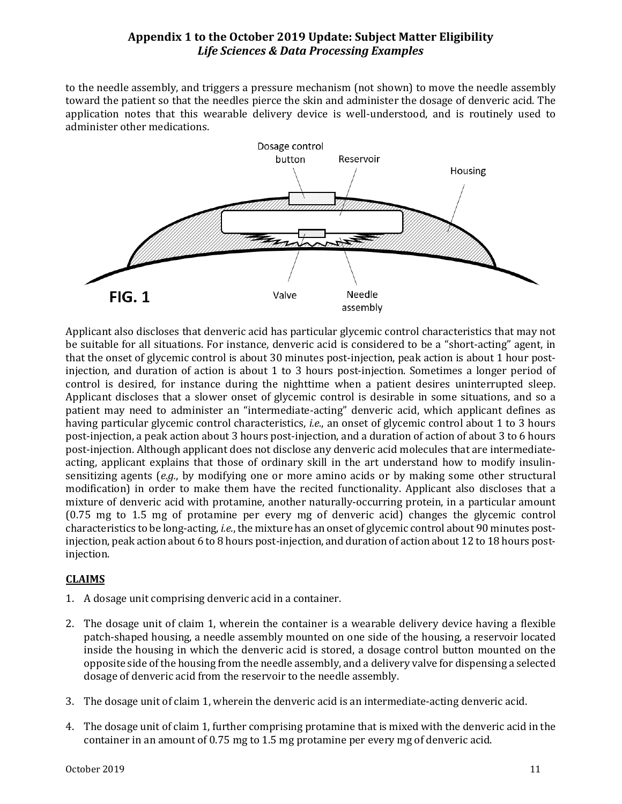to the needle assembly, and triggers a pressure mechanism (not shown) to move the needle assembly toward the patient so that the needles pierce the skin and administer the dosage of denveric acid. The application notes that this wearable delivery device is well-understood, and is routinely used to administer other medications.



Applicant also discloses that denveric acid has particular glycemic control characteristics that may not be suitable for all situations. For instance, denveric acid is considered to be a "short-acting" agent, in that the onset of glycemic control is about 30 minutes post-injection, peak action is about 1 hour postinjection, and duration of action is about 1 to 3 hours post-injection. Sometimes a longer period of control is desired, for instance during the nighttime when a patient desires uninterrupted sleep. Applicant discloses that a slower onset of glycemic control is desirable in some situations, and so a patient may need to administer an "intermediate-acting" denveric acid, which applicant defines as having particular glycemic control characteristics, *i.e.*, an onset of glycemic control about 1 to 3 hours post-injection, a peak action about 3 hours post-injection, and a duration of action of about 3 to 6 hours post-injection. Although applicant does not disclose any denveric acid molecules that are intermediateacting, applicant explains that those of ordinary skill in the art understand how to modify insulinsensitizing agents (*e.g.*, by modifying one or more amino acids or by making some other structural modification) in order to make them have the recited functionality. Applicant also discloses that a mixture of denveric acid with protamine, another naturally-occurring protein, in a particular amount (0.75 mg to 1.5 mg of protamine per every mg of denveric acid) changes the glycemic control characteristics to be long-acting, *i.e.*, the mixture has an onset of glycemic control about 90 minutes postinjection, peak action about 6 to 8 hours post-injection, and duration of action about 12 to 18 hours postinjection.

#### **CLAIMS**

- 1. A dosage unit comprising denveric acid in a container.
- 2. The dosage unit of claim 1, wherein the container is a wearable delivery device having a flexible patch-shaped housing, a needle assembly mounted on one side of the housing, a reservoir located inside the housing in which the denveric acid is stored, a dosage control button mounted on the opposite side of the housing from the needle assembly, and a delivery valve for dispensing a selected dosage of denveric acid from the reservoir to the needle assembly.
- 3. The dosage unit of claim 1, wherein the denveric acid is an intermediate-acting denveric acid.
- 4. The dosage unit of claim 1, further comprising protamine that is mixed with the denveric acid in the container in an amount of 0.75 mg to 1.5 mg protamine per every mg of denveric acid.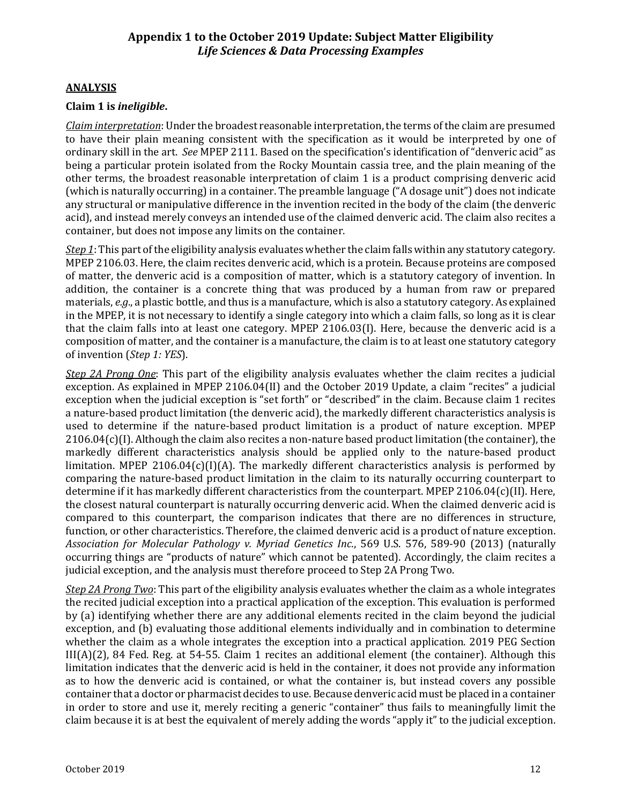#### **ANALYSIS**

#### **Claim 1 is** *ineligible***.**

*Claim interpretation*: Under the broadest reasonable interpretation, the terms of the claim are presumed to have their plain meaning consistent with the specification as it would be interpreted by one of ordinary skill in the art. *See* MPEP 2111. Based on the specification's identification of "denveric acid" as being a particular protein isolated from the Rocky Mountain cassia tree, and the plain meaning of the other terms, the broadest reasonable interpretation of claim 1 is a product comprising denveric acid (which is naturally occurring) in a container. The preamble language ("A dosage unit") does not indicate any structural or manipulative difference in the invention recited in the body of the claim (the denveric acid), and instead merely conveys an intended use of the claimed denveric acid. The claim also recites a container, but does not impose any limits on the container.

*Step 1*: This part of the eligibility analysis evaluates whether the claim falls within any statutory category. MPEP 2106.03. Here, the claim recites denveric acid, which is a protein. Because proteins are composed of matter, the denveric acid is a composition of matter, which is a statutory category of invention. In addition, the container is a concrete thing that was produced by a human from raw or prepared materials, *e.g*., a plastic bottle, and thus is a manufacture, which is also a statutory category. As explained in the MPEP, it is not necessary to identify a single category into which a claim falls, so long as it is clear that the claim falls into at least one category. MPEP 2106.03(I). Here, because the denveric acid is a composition of matter, and the container is a manufacture, the claim is to at least one statutory category of invention (*Step 1: YES*).

*Step 2A Prong One*: This part of the eligibility analysis evaluates whether the claim recites a judicial exception. As explained in MPEP 2106.04(II) and the October 2019 Update, a claim "recites" a judicial exception when the judicial exception is "set forth" or "described" in the claim. Because claim 1 recites a nature-based product limitation (the denveric acid), the markedly different characteristics analysis is used to determine if the nature-based product limitation is a product of nature exception. MPEP  $2106.04(c)$ (I). Although the claim also recites a non-nature based product limitation (the container), the markedly different characteristics analysis should be applied only to the nature-based product limitation. MPEP 2106.04(c)(I)(A). The markedly different characteristics analysis is performed by comparing the nature-based product limitation in the claim to its naturally occurring counterpart to determine if it has markedly different characteristics from the counterpart. MPEP 2106.04(c)(II). Here, the closest natural counterpart is naturally occurring denveric acid. When the claimed denveric acid is compared to this counterpart, the comparison indicates that there are no differences in structure, function, or other characteristics. Therefore, the claimed denveric acid is a product of nature exception. *Association for Molecular Pathology v. Myriad Genetics Inc.*, 569 U.S. 576, 589-90 (2013) (naturally occurring things are "products of nature" which cannot be patented). Accordingly, the claim recites a judicial exception, and the analysis must therefore proceed to Step 2A Prong Two.

*Step 2A Prong Two*: This part of the eligibility analysis evaluates whether the claim as a whole integrates the recited judicial exception into a practical application of the exception. This evaluation is performed by (a) identifying whether there are any additional elements recited in the claim beyond the judicial exception, and (b) evaluating those additional elements individually and in combination to determine whether the claim as a whole integrates the exception into a practical application. 2019 PEG Section III(A)(2), 84 Fed. Reg. at 54-55. Claim 1 recites an additional element (the container). Although this limitation indicates that the denveric acid is held in the container, it does not provide any information as to how the denveric acid is contained, or what the container is, but instead covers any possible container that a doctor or pharmacist decides to use. Because denveric acid must be placed in a container in order to store and use it, merely reciting a generic "container" thus fails to meaningfully limit the claim because it is at best the equivalent of merely adding the words "apply it" to the judicial exception.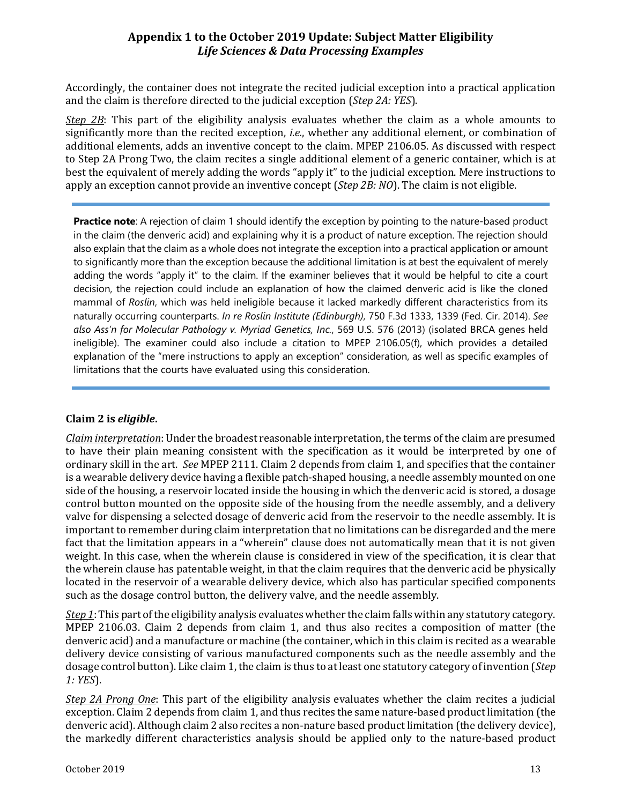Accordingly, the container does not integrate the recited judicial exception into a practical application and the claim is therefore directed to the judicial exception (*Step 2A: YES*).

*Step 2B*: This part of the eligibility analysis evaluates whether the claim as a whole amounts to significantly more than the recited exception, *i.e.*, whether any additional element, or combination of additional elements, adds an inventive concept to the claim. MPEP 2106.05. As discussed with respect to Step 2A Prong Two, the claim recites a single additional element of a generic container, which is at best the equivalent of merely adding the words "apply it" to the judicial exception. Mere instructions to apply an exception cannot provide an inventive concept (*Step 2B: NO*). The claim is not eligible.

**Practice note**: A rejection of claim 1 should identify the exception by pointing to the nature-based product in the claim (the denveric acid) and explaining why it is a product of nature exception. The rejection should also explain that the claim as a whole does not integrate the exception into a practical application or amount to significantly more than the exception because the additional limitation is at best the equivalent of merely adding the words "apply it" to the claim. If the examiner believes that it would be helpful to cite a court decision, the rejection could include an explanation of how the claimed denveric acid is like the cloned mammal of *Roslin*, which was held ineligible because it lacked markedly different characteristics from its naturally occurring counterparts. *In re Roslin Institute (Edinburgh)*, 750 F.3d 1333, 1339 (Fed. Cir. 2014). *See also Ass'n for Molecular Pathology v. Myriad Genetics, Inc.*, 569 U.S. 576 (2013) (isolated BRCA genes held ineligible). The examiner could also include a citation to MPEP 2106.05(f), which provides a detailed explanation of the "mere instructions to apply an exception" consideration, as well as specific examples of limitations that the courts have evaluated using this consideration.

#### **Claim 2 is** *eligible***.**

*Claim interpretation*: Under the broadest reasonable interpretation, the terms of the claim are presumed to have their plain meaning consistent with the specification as it would be interpreted by one of ordinary skill in the art. *See* MPEP 2111. Claim 2 depends from claim 1, and specifies that the container is a wearable delivery device having a flexible patch-shaped housing, a needle assembly mounted on one side of the housing, a reservoir located inside the housing in which the denveric acid is stored, a dosage control button mounted on the opposite side of the housing from the needle assembly, and a delivery valve for dispensing a selected dosage of denveric acid from the reservoir to the needle assembly. It is important to remember during claim interpretation that no limitations can be disregarded and the mere fact that the limitation appears in a "wherein" clause does not automatically mean that it is not given weight. In this case, when the wherein clause is considered in view of the specification, it is clear that the wherein clause has patentable weight, in that the claim requires that the denveric acid be physically located in the reservoir of a wearable delivery device, which also has particular specified components such as the dosage control button, the delivery valve, and the needle assembly.

*Step 1*: This part of the eligibility analysis evaluates whether the claim falls within any statutory category. MPEP 2106.03. Claim 2 depends from claim 1, and thus also recites a composition of matter (the denveric acid) and a manufacture or machine (the container, which in this claim is recited as a wearable delivery device consisting of various manufactured components such as the needle assembly and the dosage control button). Like claim 1, the claim is thus to at least one statutory category of invention (*Step 1: YES*).

*Step 2A Prong One*: This part of the eligibility analysis evaluates whether the claim recites a judicial exception. Claim 2 depends from claim 1, and thus recites the same nature-based product limitation (the denveric acid). Although claim 2 also recites a non-nature based product limitation (the delivery device), the markedly different characteristics analysis should be applied only to the nature-based product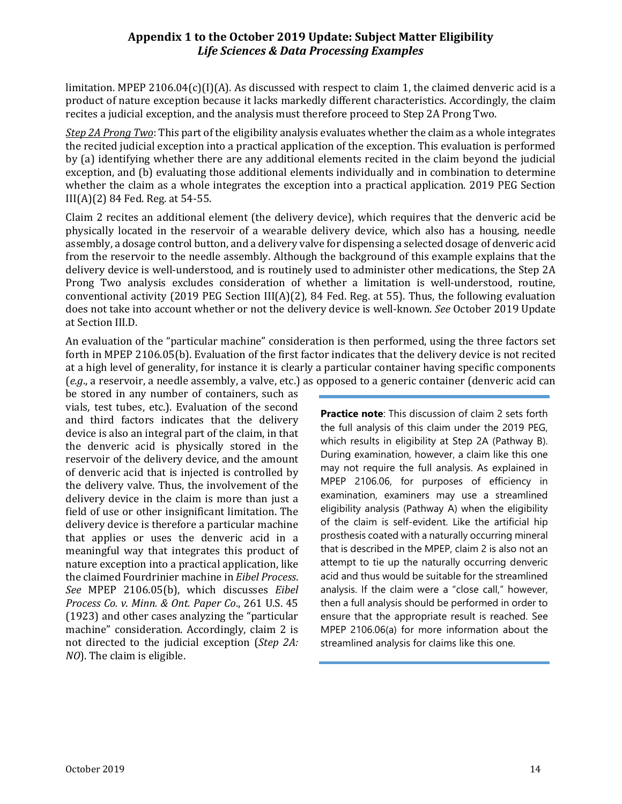limitation. MPEP 2106.04(c)(I)(A). As discussed with respect to claim 1, the claimed denveric acid is a product of nature exception because it lacks markedly different characteristics. Accordingly, the claim recites a judicial exception, and the analysis must therefore proceed to Step 2A Prong Two.

*Step 2A Prong Two*: This part of the eligibility analysis evaluates whether the claim as a whole integrates the recited judicial exception into a practical application of the exception. This evaluation is performed by (a) identifying whether there are any additional elements recited in the claim beyond the judicial exception, and (b) evaluating those additional elements individually and in combination to determine whether the claim as a whole integrates the exception into a practical application. 2019 PEG Section III(A)(2) 84 Fed. Reg. at 54-55.

Claim 2 recites an additional element (the delivery device), which requires that the denveric acid be physically located in the reservoir of a wearable delivery device, which also has a housing, needle assembly, a dosage control button, and a delivery valve for dispensing a selected dosage of denveric acid from the reservoir to the needle assembly. Although the background of this example explains that the delivery device is well-understood, and is routinely used to administer other medications, the Step 2A Prong Two analysis excludes consideration of whether a limitation is well-understood, routine, conventional activity (2019 PEG Section III(A)(2), 84 Fed. Reg. at 55). Thus, the following evaluation does not take into account whether or not the delivery device is well-known. *See* October 2019 Update at Section III.D.

An evaluation of the "particular machine" consideration is then performed, using the three factors set forth in MPEP 2106.05(b). Evaluation of the first factor indicates that the delivery device is not recited at a high level of generality, for instance it is clearly a particular container having specific components (*e.g*., a reservoir, a needle assembly, a valve, etc.) as opposed to a generic container (denveric acid can

be stored in any number of containers, such as vials, test tubes, etc.). Evaluation of the second and third factors indicates that the delivery device is also an integral part of the claim, in that the denveric acid is physically stored in the reservoir of the delivery device, and the amount of denveric acid that is injected is controlled by the delivery valve. Thus, the involvement of the delivery device in the claim is more than just a field of use or other insignificant limitation. The delivery device is therefore a particular machine that applies or uses the denveric acid in a meaningful way that integrates this product of nature exception into a practical application, like the claimed Fourdrinier machine in *Eibel Process*. *See* MPEP 2106.05(b), which discusses *Eibel Process Co. v. Minn. & Ont. Paper Co*., 261 U.S. 45 (1923) and other cases analyzing the "particular machine" consideration. Accordingly, claim 2 is not directed to the judicial exception (*Step 2A: NO*). The claim is eligible.

**Practice note:** This discussion of claim 2 sets forth the full analysis of this claim under the 2019 PEG, which results in eligibility at Step 2A (Pathway B). During examination, however, a claim like this one may not require the full analysis. As explained in MPEP 2106.06, for purposes of efficiency in examination, examiners may use a streamlined eligibility analysis (Pathway A) when the eligibility of the claim is self-evident. Like the artificial hip prosthesis coated with a naturally occurring mineral that is described in the MPEP, claim 2 is also not an attempt to tie up the naturally occurring denveric acid and thus would be suitable for the streamlined analysis. If the claim were a "close call," however, then a full analysis should be performed in order to ensure that the appropriate result is reached. See MPEP 2106.06(a) for more information about the streamlined analysis for claims like this one.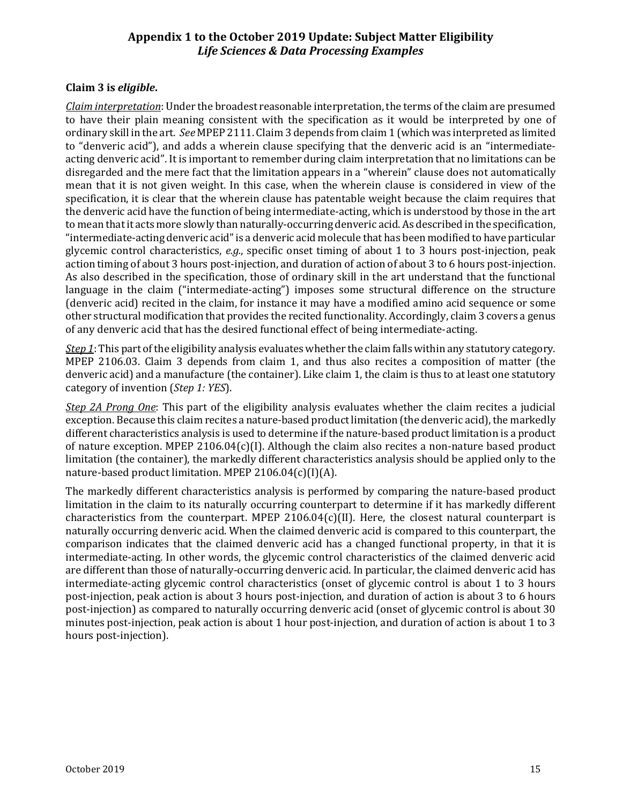#### **Claim 3 is** *eligible***.**

*Claim interpretation*: Under the broadest reasonable interpretation, the terms of the claim are presumed to have their plain meaning consistent with the specification as it would be interpreted by one of ordinary skill in the art. *See* MPEP 2111. Claim 3 depends from claim 1 (which was interpreted as limited to "denveric acid"), and adds a wherein clause specifying that the denveric acid is an "intermediateacting denveric acid". It is important to remember during claim interpretation that no limitations can be disregarded and the mere fact that the limitation appears in a "wherein" clause does not automatically mean that it is not given weight. In this case, when the wherein clause is considered in view of the specification, it is clear that the wherein clause has patentable weight because the claim requires that the denveric acid have the function of being intermediate-acting, which is understood by those in the art to mean that it acts more slowly than naturally-occurring denveric acid. As described in the specification, "intermediate-acting denveric acid" is a denveric acid molecule that has been modified to have particular glycemic control characteristics, *e.g.*, specific onset timing of about 1 to 3 hours post-injection, peak action timing of about 3 hours post-injection, and duration of action of about 3 to 6 hours post-injection. As also described in the specification, those of ordinary skill in the art understand that the functional language in the claim ("intermediate-acting") imposes some structural difference on the structure (denveric acid) recited in the claim, for instance it may have a modified amino acid sequence or some other structural modification that provides the recited functionality. Accordingly, claim 3 covers a genus of any denveric acid that has the desired functional effect of being intermediate-acting.

*Step 1*: This part of the eligibility analysis evaluates whether the claim falls within any statutory category. MPEP 2106.03. Claim 3 depends from claim 1, and thus also recites a composition of matter (the denveric acid) and a manufacture (the container). Like claim 1, the claim is thus to at least one statutory category of invention (*Step 1: YES*).

*Step 2A Prong One*: This part of the eligibility analysis evaluates whether the claim recites a judicial exception. Because this claim recites a nature-based product limitation (the denveric acid), the markedly different characteristics analysis is used to determine if the nature-based product limitation is a product of nature exception. MPEP 2106.04(c)(I). Although the claim also recites a non-nature based product limitation (the container), the markedly different characteristics analysis should be applied only to the nature-based product limitation. MPEP 2106.04(c)(I)(A).

The markedly different characteristics analysis is performed by comparing the nature-based product limitation in the claim to its naturally occurring counterpart to determine if it has markedly different characteristics from the counterpart. MPEP  $2106.04(c)(II)$ . Here, the closest natural counterpart is naturally occurring denveric acid. When the claimed denveric acid is compared to this counterpart, the comparison indicates that the claimed denveric acid has a changed functional property, in that it is intermediate-acting. In other words, the glycemic control characteristics of the claimed denveric acid are different than those of naturally-occurring denveric acid. In particular, the claimed denveric acid has intermediate-acting glycemic control characteristics (onset of glycemic control is about 1 to 3 hours post-injection, peak action is about 3 hours post-injection, and duration of action is about 3 to 6 hours post-injection) as compared to naturally occurring denveric acid (onset of glycemic control is about 30 minutes post-injection, peak action is about 1 hour post-injection, and duration of action is about 1 to 3 hours post-injection).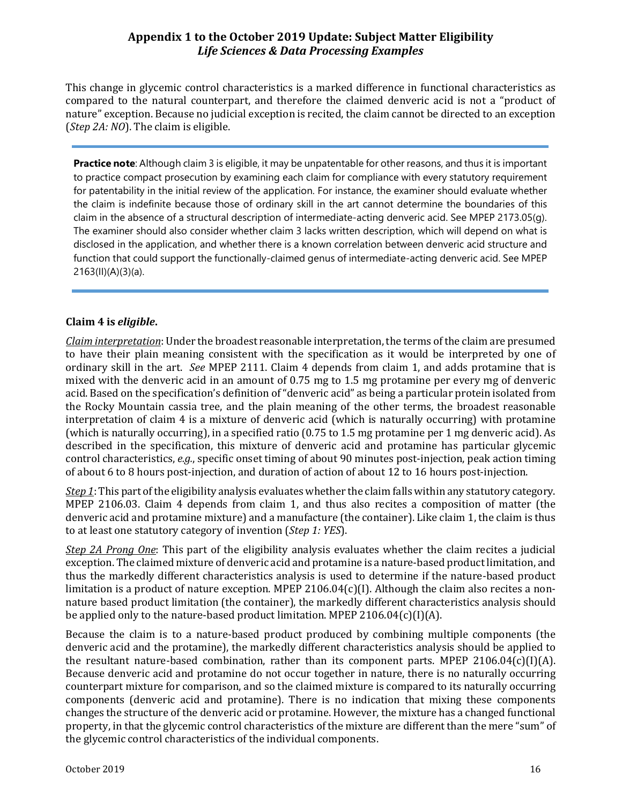This change in glycemic control characteristics is a marked difference in functional characteristics as compared to the natural counterpart, and therefore the claimed denveric acid is not a "product of nature" exception. Because no judicial exception is recited, the claim cannot be directed to an exception (*Step 2A: NO*). The claim is eligible.

**Practice note**: Although claim 3 is eligible, it may be unpatentable for other reasons, and thus it is important to practice compact prosecution by examining each claim for compliance with every statutory requirement for patentability in the initial review of the application. For instance, the examiner should evaluate whether the claim is indefinite because those of ordinary skill in the art cannot determine the boundaries of this claim in the absence of a structural description of intermediate-acting denveric acid. See MPEP 2173.05(g). The examiner should also consider whether claim 3 lacks written description, which will depend on what is disclosed in the application, and whether there is a known correlation between denveric acid structure and function that could support the functionally-claimed genus of intermediate-acting denveric acid. See MPEP 2163(II)(A)(3)(a).

#### **Claim 4 is** *eligible***.**

*Claim interpretation*: Under the broadest reasonable interpretation, the terms of the claim are presumed to have their plain meaning consistent with the specification as it would be interpreted by one of ordinary skill in the art. *See* MPEP 2111. Claim 4 depends from claim 1, and adds protamine that is mixed with the denveric acid in an amount of 0.75 mg to 1.5 mg protamine per every mg of denveric acid. Based on the specification's definition of "denveric acid" as being a particular protein isolated from the Rocky Mountain cassia tree, and the plain meaning of the other terms, the broadest reasonable interpretation of claim 4 is a mixture of denveric acid (which is naturally occurring) with protamine (which is naturally occurring), in a specified ratio (0.75 to 1.5 mg protamine per 1 mg denveric acid). As described in the specification, this mixture of denveric acid and protamine has particular glycemic control characteristics, *e.g.*, specific onset timing of about 90 minutes post-injection, peak action timing of about 6 to 8 hours post-injection, and duration of action of about 12 to 16 hours post-injection.

*Step 1*: This part of the eligibility analysis evaluates whether the claim falls within any statutory category. MPEP 2106.03. Claim 4 depends from claim 1, and thus also recites a composition of matter (the denveric acid and protamine mixture) and a manufacture (the container). Like claim 1, the claim is thus to at least one statutory category of invention (*Step 1: YES*).

*Step 2A Prong One*: This part of the eligibility analysis evaluates whether the claim recites a judicial exception. The claimed mixture of denveric acid and protamine is a nature-based product limitation, and thus the markedly different characteristics analysis is used to determine if the nature-based product limitation is a product of nature exception. MPEP 2106.04 $(c)$ (I). Although the claim also recites a nonnature based product limitation (the container), the markedly different characteristics analysis should be applied only to the nature-based product limitation. MPEP 2106.04(c)(I)(A).

Because the claim is to a nature-based product produced by combining multiple components (the denveric acid and the protamine), the markedly different characteristics analysis should be applied to the resultant nature-based combination, rather than its component parts. MPEP 2106.04 $(c)$ (I)(A). Because denveric acid and protamine do not occur together in nature, there is no naturally occurring counterpart mixture for comparison, and so the claimed mixture is compared to its naturally occurring components (denveric acid and protamine). There is no indication that mixing these components changes the structure of the denveric acid or protamine. However, the mixture has a changed functional property, in that the glycemic control characteristics of the mixture are different than the mere "sum" of the glycemic control characteristics of the individual components.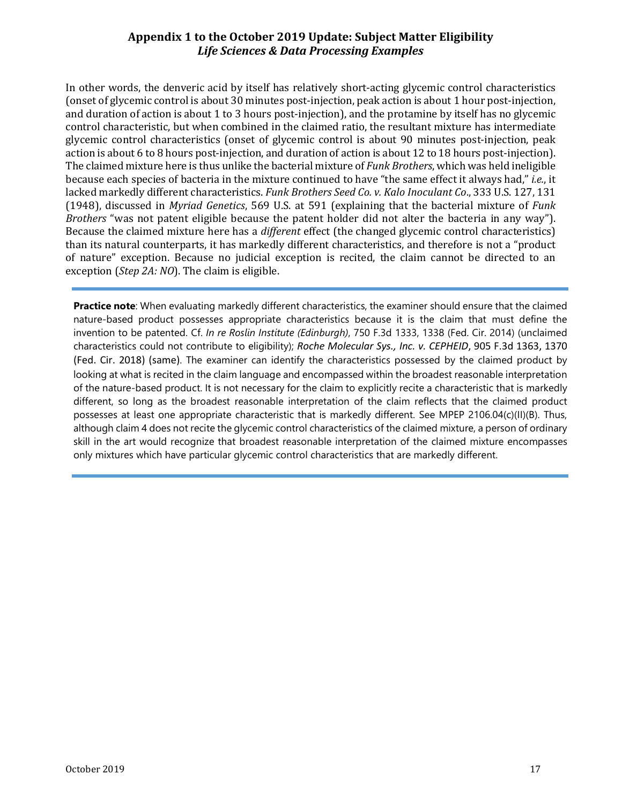In other words, the denveric acid by itself has relatively short-acting glycemic control characteristics (onset of glycemic control is about 30 minutes post-injection, peak action is about 1 hour post-injection, and duration of action is about 1 to 3 hours post-injection), and the protamine by itself has no glycemic control characteristic, but when combined in the claimed ratio, the resultant mixture has intermediate glycemic control characteristics (onset of glycemic control is about 90 minutes post-injection, peak action is about 6 to 8 hours post-injection, and duration of action is about 12 to 18 hours post-injection). The claimed mixture here is thus unlike the bacterial mixture of *Funk Brothers*, which was held ineligible because each species of bacteria in the mixture continued to have "the same effect it always had," *i.e.*, it lacked markedly different characteristics. *Funk Brothers Seed Co. v. Kalo Inoculant Co*., 333 U.S. 127, 131 (1948), discussed in *Myriad Genetics*, 569 U.S. at 591 (explaining that the bacterial mixture of *Funk Brothers* "was not patent eligible because the patent holder did not alter the bacteria in any way"). Because the claimed mixture here has a *different* effect (the changed glycemic control characteristics) than its natural counterparts, it has markedly different characteristics, and therefore is not a "product of nature" exception. Because no judicial exception is recited, the claim cannot be directed to an exception (*Step 2A: NO*). The claim is eligible.

**Practice note**: When evaluating markedly different characteristics, the examiner should ensure that the claimed nature-based product possesses appropriate characteristics because it is the claim that must define the invention to be patented. Cf. *In re Roslin Institute (Edinburgh)*, 750 F.3d 1333, 1338 (Fed. Cir. 2014) (unclaimed characteristics could not contribute to eligibility); *Roche Molecular Sys., Inc. v. CEPHEID*, 905 F.3d 1363, 1370 (Fed. Cir. 2018) (same). The examiner can identify the characteristics possessed by the claimed product by looking at what is recited in the claim language and encompassed within the broadest reasonable interpretation of the nature-based product. It is not necessary for the claim to explicitly recite a characteristic that is markedly different, so long as the broadest reasonable interpretation of the claim reflects that the claimed product possesses at least one appropriate characteristic that is markedly different. See MPEP 2106.04(c)(II)(B). Thus, although claim 4 does not recite the glycemic control characteristics of the claimed mixture, a person of ordinary skill in the art would recognize that broadest reasonable interpretation of the claimed mixture encompasses only mixtures which have particular glycemic control characteristics that are markedly different.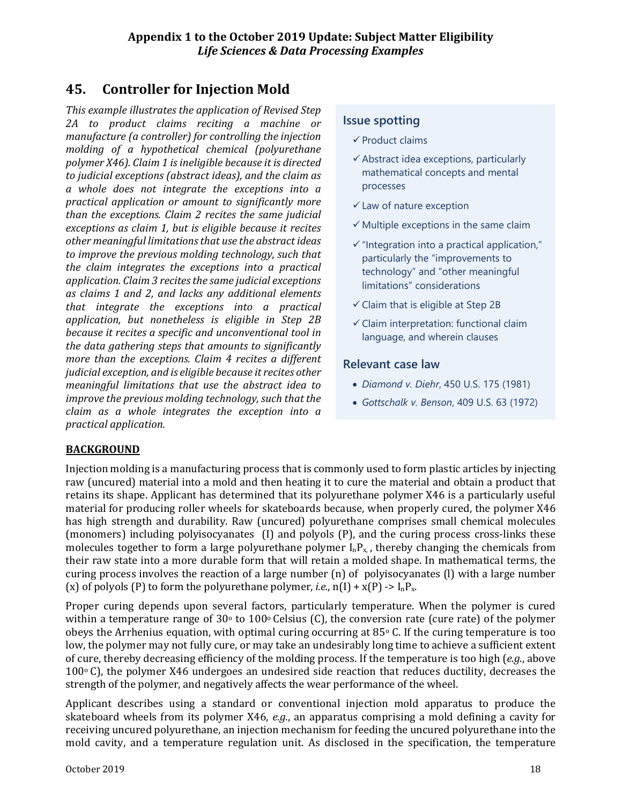# **45. Controller for Injection Mold**

*This example illustrates the application of Revised Step 2A to product claims reciting a machine or manufacture (a controller) for controlling the injection molding of a hypothetical chemical (polyurethane polymer X46). Claim 1 is ineligible because it is directed to judicial exceptions (abstract ideas), and the claim as a whole does not integrate the exceptions into a practical application or amount to significantly more than the exceptions. Claim 2 recites the same judicial exceptions as claim 1, but is eligible because it recites other meaningful limitations that use the abstract ideas to improve the previous molding technology, such that the claim integrates the exceptions into a practical application. Claim 3 recites the same judicial exceptions as claims 1 and 2, and lacks any additional elements that integrate the exceptions into a practical application, but nonetheless is eligible in Step 2B because it recites a specific and unconventional tool in the data gathering steps that amounts to significantly more than the exceptions. Claim 4 recites a different judicial exception, and is eligible because it recites other meaningful limitations that use the abstract idea to improve the previous molding technology, such that the claim as a whole integrates the exception into a practical application.*

## **Issue spotting**

- $\checkmark$  Product claims
- $\checkmark$  Abstract idea exceptions, particularly mathematical concepts and mental processes
- $\checkmark$  Law of nature exception
- $\checkmark$  Multiple exceptions in the same claim
- $\checkmark$  "Integration into a practical application," particularly the "improvements to technology" and "other meaningful limitations" considerations
- $\checkmark$  Claim that is eligible at Step 2B
- $\checkmark$  Claim interpretation: functional claim language, and wherein clauses

#### **Relevant case law**

- *Diamond v. Diehr*, 450 U.S. 175 (1981)
- *Gottschalk v. Benson*, 409 U.S. 63 (1972)

#### **BACKGROUND**

Injection molding is a manufacturing process that is commonly used to form plastic articles by injecting raw (uncured) material into a mold and then heating it to cure the material and obtain a product that retains its shape. Applicant has determined that its polyurethane polymer X46 is a particularly useful material for producing roller wheels for skateboards because, when properly cured, the polymer X46 has high strength and durability. Raw (uncured) polyurethane comprises small chemical molecules (monomers) including polyisocyanates (I) and polyols (P), and the curing process cross-links these molecules together to form a large polyurethane polymer  $I_nP_{x}$ , thereby changing the chemicals from their raw state into a more durable form that will retain a molded shape. In mathematical terms, the curing process involves the reaction of a large number (n) of polyisocyanates (l) with a large number (x) of polyols (P) to form the polyurethane polymer, *i.e.*,  $n(I) + x(P) \rightarrow I_n P_x$ .

Proper curing depends upon several factors, particularly temperature. When the polymer is cured within a temperature range of  $30^{\circ}$  to  $100^{\circ}$  Celsius (C), the conversion rate (cure rate) of the polymer obeys the Arrhenius equation, with optimal curing occurring at  $85^{\circ}$  C. If the curing temperature is too low, the polymer may not fully cure, or may take an undesirably long time to achieve a sufficient extent of cure, thereby decreasing efficiency of the molding process. If the temperature is too high (*e.g*., above  $100\degree$  C), the polymer X46 undergoes an undesired side reaction that reduces ductility, decreases the strength of the polymer, and negatively affects the wear performance of the wheel.

Applicant describes using a standard or conventional injection mold apparatus to produce the skateboard wheels from its polymer X46, *e.g*., an apparatus comprising a mold defining a cavity for receiving uncured polyurethane, an injection mechanism for feeding the uncured polyurethane into the mold cavity, and a temperature regulation unit. As disclosed in the specification, the temperature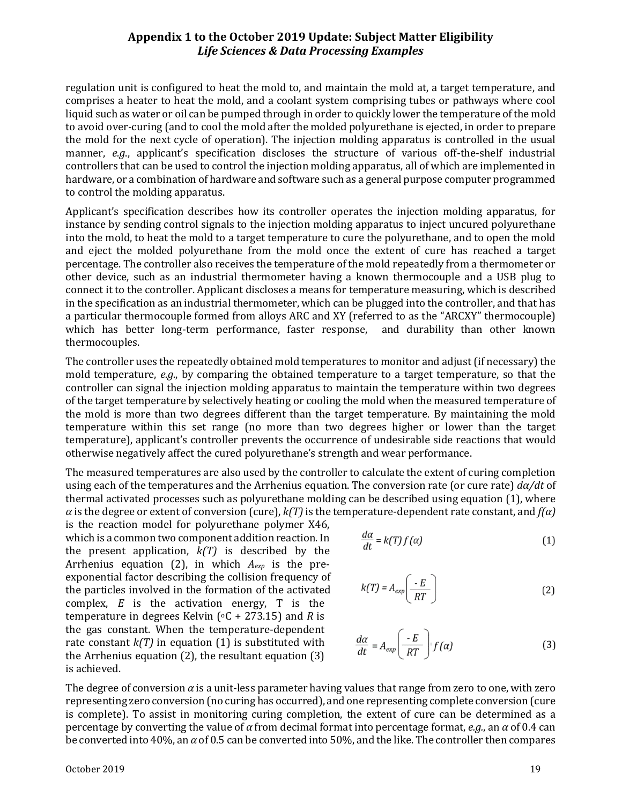regulation unit is configured to heat the mold to, and maintain the mold at, a target temperature, and comprises a heater to heat the mold, and a coolant system comprising tubes or pathways where cool liquid such as water or oil can be pumped through in order to quickly lower the temperature of the mold to avoid over-curing (and to cool the mold after the molded polyurethane is ejected, in order to prepare the mold for the next cycle of operation). The injection molding apparatus is controlled in the usual manner, *e.g*., applicant's specification discloses the structure of various off-the-shelf industrial controllers that can be used to control the injection molding apparatus, all of which are implemented in hardware, or a combination of hardware and software such as a general purpose computer programmed to control the molding apparatus.

Applicant's specification describes how its controller operates the injection molding apparatus, for instance by sending control signals to the injection molding apparatus to inject uncured polyurethane into the mold, to heat the mold to a target temperature to cure the polyurethane, and to open the mold and eject the molded polyurethane from the mold once the extent of cure has reached a target percentage. The controller also receives the temperature of the mold repeatedly from a thermometer or other device, such as an industrial thermometer having a known thermocouple and a USB plug to connect it to the controller. Applicant discloses a means for temperature measuring, which is described in the specification as an industrial thermometer, which can be plugged into the controller, and that has a particular thermocouple formed from alloys ARC and XY (referred to as the "ARCXY" thermocouple) which has better long-term performance, faster response, and durability than other known thermocouples.

The controller uses the repeatedly obtained mold temperatures to monitor and adjust (if necessary) the mold temperature, *e.g.*, by comparing the obtained temperature to a target temperature, so that the controller can signal the injection molding apparatus to maintain the temperature within two degrees of the target temperature by selectively heating or cooling the mold when the measured temperature of the mold is more than two degrees different than the target temperature. By maintaining the mold temperature within this set range (no more than two degrees higher or lower than the target temperature), applicant's controller prevents the occurrence of undesirable side reactions that would otherwise negatively affect the cured polyurethane's strength and wear performance.

The measured temperatures are also used by the controller to calculate the extent of curing completion using each of the temperatures and the Arrhenius equation. The conversion rate (or cure rate) *dα/dt* of thermal activated processes such as polyurethane molding can be described using equation (1), where  $\alpha$  is the degree or extent of conversion (cure),  $k(T)$  is the temperature-dependent rate constant, and  $f(\alpha)$ 

is the reaction model for polyurethane polymer X46, which is a common two component addition reaction. In the present application,  $k(T)$  is described by the Arrhenius equation (2), in which *Aexp* is the preexponential factor describing the collision frequency of the particles involved in the formation of the activated complex, *E* is the activation energy, T is the temperature in degrees Kelvin  $[°C + 273.15]$  and *R* is the gas constant. When the temperature-dependent rate constant  $k(T)$  in equation (1) is substituted with the Arrhenius equation (2), the resultant equation (3) is achieved.

$$
\frac{d\alpha}{dt} = k(T)f(\alpha) \tag{1}
$$

$$
k(T) = A_{exp}\left(\frac{E}{RT}\right) \tag{2}
$$

$$
\frac{d\alpha}{dt} = A_{exp}\left(\frac{E}{RT}\right) f(\alpha) \tag{3}
$$

The degree of conversion *α* is a unit-less parameter having values that range from zero to one, with zero representing zero conversion (no curing has occurred), and one representing complete conversion (cure is complete). To assist in monitoring curing completion, the extent of cure can be determined as a percentage by converting the value of *α* from decimal format into percentage format, *e.g.*, an *α* of 0.4 can be converted into 40%, an *α* of 0.5 can be converted into 50%, and the like. The controller then compares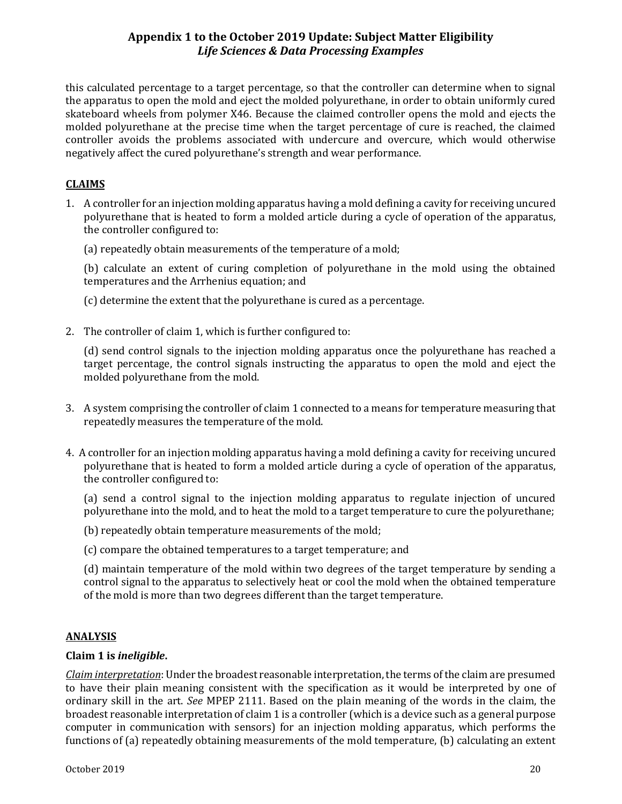this calculated percentage to a target percentage, so that the controller can determine when to signal the apparatus to open the mold and eject the molded polyurethane, in order to obtain uniformly cured skateboard wheels from polymer X46. Because the claimed controller opens the mold and ejects the molded polyurethane at the precise time when the target percentage of cure is reached, the claimed controller avoids the problems associated with undercure and overcure, which would otherwise negatively affect the cured polyurethane's strength and wear performance.

## **CLAIMS**

1. A controller for an injection molding apparatus having a mold defining a cavity for receiving uncured polyurethane that is heated to form a molded article during a cycle of operation of the apparatus, the controller configured to:

(a) repeatedly obtain measurements of the temperature of a mold;

(b) calculate an extent of curing completion of polyurethane in the mold using the obtained temperatures and the Arrhenius equation; and

(c) determine the extent that the polyurethane is cured as a percentage.

2. The controller of claim 1, which is further configured to:

(d) send control signals to the injection molding apparatus once the polyurethane has reached a target percentage, the control signals instructing the apparatus to open the mold and eject the molded polyurethane from the mold.

- 3. A system comprising the controller of claim 1 connected to a means for temperature measuring that repeatedly measures the temperature of the mold.
- 4. A controller for an injection molding apparatus having a mold defining a cavity for receiving uncured polyurethane that is heated to form a molded article during a cycle of operation of the apparatus, the controller configured to:

(a) send a control signal to the injection molding apparatus to regulate injection of uncured polyurethane into the mold, and to heat the mold to a target temperature to cure the polyurethane;

- (b) repeatedly obtain temperature measurements of the mold;
- (c) compare the obtained temperatures to a target temperature; and

(d) maintain temperature of the mold within two degrees of the target temperature by sending a control signal to the apparatus to selectively heat or cool the mold when the obtained temperature of the mold is more than two degrees different than the target temperature.

#### **ANALYSIS**

#### **Claim 1 is** *ineligible***.**

*Claim interpretation*: Under the broadest reasonable interpretation, the terms of the claim are presumed to have their plain meaning consistent with the specification as it would be interpreted by one of ordinary skill in the art. *See* MPEP 2111. Based on the plain meaning of the words in the claim, the broadest reasonable interpretation of claim 1 is a controller (which is a device such as a general purpose computer in communication with sensors) for an injection molding apparatus, which performs the functions of (a) repeatedly obtaining measurements of the mold temperature, (b) calculating an extent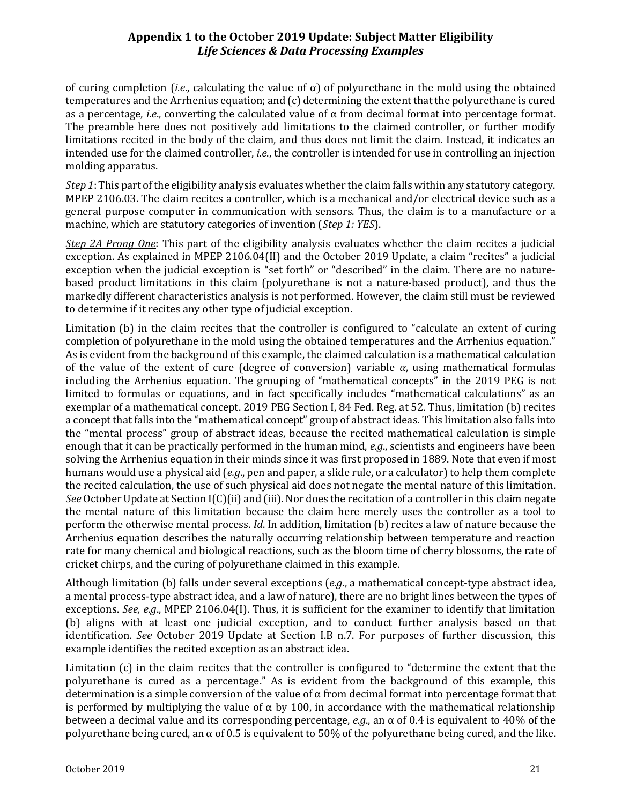of curing completion *(i.e., calculating the value of*  $\alpha$ *)* of polyurethane in the mold using the obtained temperatures and the Arrhenius equation; and (c) determining the extent that the polyurethane is cured as a percentage, *i.e*., converting the calculated value of α from decimal format into percentage format. The preamble here does not positively add limitations to the claimed controller, or further modify limitations recited in the body of the claim, and thus does not limit the claim. Instead, it indicates an intended use for the claimed controller, *i.e*., the controller is intended for use in controlling an injection molding apparatus.

*Step 1*: This part of the eligibility analysis evaluates whether the claim falls within any statutory category. MPEP 2106.03. The claim recites a controller, which is a mechanical and/or electrical device such as a general purpose computer in communication with sensors. Thus, the claim is to a manufacture or a machine, which are statutory categories of invention (*Step 1: YES*).

*Step 2A Prong One*: This part of the eligibility analysis evaluates whether the claim recites a judicial exception. As explained in MPEP 2106.04(II) and the October 2019 Update, a claim "recites" a judicial exception when the judicial exception is "set forth" or "described" in the claim. There are no naturebased product limitations in this claim (polyurethane is not a nature-based product), and thus the markedly different characteristics analysis is not performed. However, the claim still must be reviewed to determine if it recites any other type of judicial exception.

Limitation (b) in the claim recites that the controller is configured to "calculate an extent of curing completion of polyurethane in the mold using the obtained temperatures and the Arrhenius equation." As is evident from the background of this example, the claimed calculation is a mathematical calculation of the value of the extent of cure (degree of conversion) variable *α*, using mathematical formulas including the Arrhenius equation. The grouping of "mathematical concepts" in the 2019 PEG is not limited to formulas or equations, and in fact specifically includes "mathematical calculations" as an exemplar of a mathematical concept. 2019 PEG Section I, 84 Fed. Reg. at 52. Thus, limitation (b) recites a concept that falls into the "mathematical concept" group of abstract ideas. This limitation also falls into the "mental process" group of abstract ideas, because the recited mathematical calculation is simple enough that it can be practically performed in the human mind, *e.g*., scientists and engineers have been solving the Arrhenius equation in their minds since it was first proposed in 1889. Note that even if most humans would use a physical aid (*e.g*., pen and paper, a slide rule, or a calculator) to help them complete the recited calculation, the use of such physical aid does not negate the mental nature of this limitation. *See* October Update at Section I(C)(ii) and (iii). Nor does the recitation of a controller in this claim negate the mental nature of this limitation because the claim here merely uses the controller as a tool to perform the otherwise mental process. *Id*. In addition, limitation (b) recites a law of nature because the Arrhenius equation describes the naturally occurring relationship between temperature and reaction rate for many chemical and biological reactions, such as the bloom time of cherry blossoms, the rate of cricket chirps, and the curing of polyurethane claimed in this example.

Although limitation (b) falls under several exceptions (*e.g*., a mathematical concept-type abstract idea, a mental process-type abstract idea, and a law of nature), there are no bright lines between the types of exceptions. *See, e.g*., MPEP 2106.04(I). Thus, it is sufficient for the examiner to identify that limitation (b) aligns with at least one judicial exception, and to conduct further analysis based on that identification. *See* October 2019 Update at Section I.B n.7. For purposes of further discussion, this example identifies the recited exception as an abstract idea.

Limitation (c) in the claim recites that the controller is configured to "determine the extent that the polyurethane is cured as a percentage." As is evident from the background of this example, this determination is a simple conversion of the value of α from decimal format into percentage format that is performed by multiplying the value of  $\alpha$  by 100, in accordance with the mathematical relationship between a decimal value and its corresponding percentage, *e.g*., an α of 0.4 is equivalent to 40% of the polyurethane being cured, an  $\alpha$  of 0.5 is equivalent to 50% of the polyurethane being cured, and the like.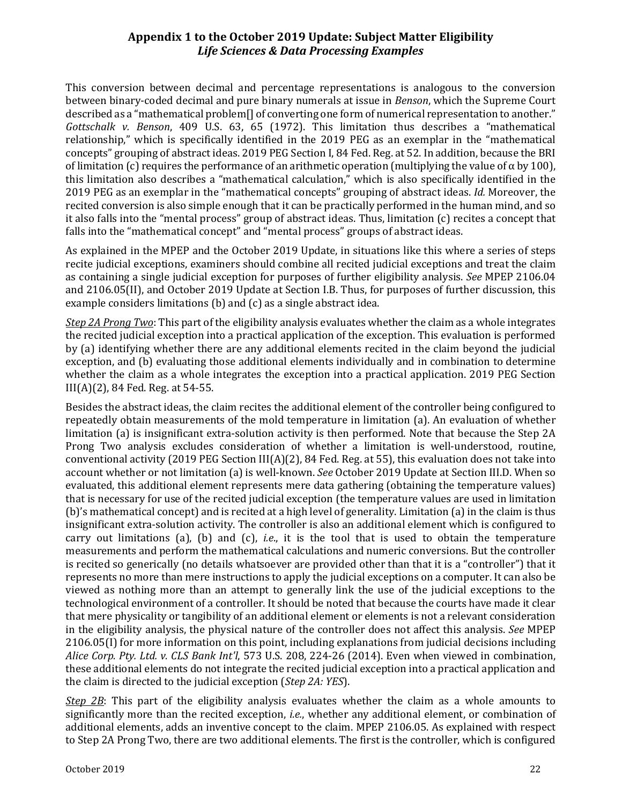This conversion between decimal and percentage representations is analogous to the conversion between binary-coded decimal and pure binary numerals at issue in *Benson*, which the Supreme Court described as a "mathematical problem[] of converting one form of numerical representation to another." *Gottschalk v. Benson*, 409 U.S. 63, 65 (1972). This limitation thus describes a "mathematical relationship," which is specifically identified in the 2019 PEG as an exemplar in the "mathematical concepts" grouping of abstract ideas. 2019 PEG Section I, 84 Fed. Reg. at 52. In addition, because the BRI of limitation (c) requires the performance of an arithmetic operation (multiplying the value of  $\alpha$  by 100), this limitation also describes a "mathematical calculation," which is also specifically identified in the 2019 PEG as an exemplar in the "mathematical concepts" grouping of abstract ideas. *Id.* Moreover, the recited conversion is also simple enough that it can be practically performed in the human mind, and so it also falls into the "mental process" group of abstract ideas. Thus, limitation (c) recites a concept that falls into the "mathematical concept" and "mental process" groups of abstract ideas.

As explained in the MPEP and the October 2019 Update, in situations like this where a series of steps recite judicial exceptions, examiners should combine all recited judicial exceptions and treat the claim as containing a single judicial exception for purposes of further eligibility analysis. *See* MPEP 2106.04 and 2106.05(II), and October 2019 Update at Section I.B. Thus, for purposes of further discussion, this example considers limitations (b) and (c) as a single abstract idea.

*Step 2A Prong Two*: This part of the eligibility analysis evaluates whether the claim as a whole integrates the recited judicial exception into a practical application of the exception. This evaluation is performed by (a) identifying whether there are any additional elements recited in the claim beyond the judicial exception, and (b) evaluating those additional elements individually and in combination to determine whether the claim as a whole integrates the exception into a practical application. 2019 PEG Section III(A)(2), 84 Fed. Reg. at 54-55.

Besides the abstract ideas, the claim recites the additional element of the controller being configured to repeatedly obtain measurements of the mold temperature in limitation (a). An evaluation of whether limitation (a) is insignificant extra-solution activity is then performed. Note that because the Step 2A Prong Two analysis excludes consideration of whether a limitation is well-understood, routine, conventional activity (2019 PEG Section III(A)(2), 84 Fed. Reg. at 55), this evaluation does not take into account whether or not limitation (a) is well-known. *See* October 2019 Update at Section III.D. When so evaluated, this additional element represents mere data gathering (obtaining the temperature values) that is necessary for use of the recited judicial exception (the temperature values are used in limitation (b)'s mathematical concept) and is recited at a high level of generality. Limitation (a) in the claim is thus insignificant extra-solution activity. The controller is also an additional element which is configured to carry out limitations (a), (b) and (c), *i.e*., it is the tool that is used to obtain the temperature measurements and perform the mathematical calculations and numeric conversions. But the controller is recited so generically (no details whatsoever are provided other than that it is a "controller") that it represents no more than mere instructions to apply the judicial exceptions on a computer. It can also be viewed as nothing more than an attempt to generally link the use of the judicial exceptions to the technological environment of a controller. It should be noted that because the courts have made it clear that mere physicality or tangibility of an additional element or elements is not a relevant consideration in the eligibility analysis, the physical nature of the controller does not affect this analysis. *See* MPEP 2106.05(I) for more information on this point, including explanations from judicial decisions including *Alice Corp. Pty. Ltd. v. CLS Bank Int'l*, 573 U.S. 208, 224-26 (2014). Even when viewed in combination, these additional elements do not integrate the recited judicial exception into a practical application and the claim is directed to the judicial exception (*Step 2A: YES*).

*Step 2B*: This part of the eligibility analysis evaluates whether the claim as a whole amounts to significantly more than the recited exception, *i.e.*, whether any additional element, or combination of additional elements, adds an inventive concept to the claim. MPEP 2106.05. As explained with respect to Step 2A Prong Two, there are two additional elements. The first is the controller, which is configured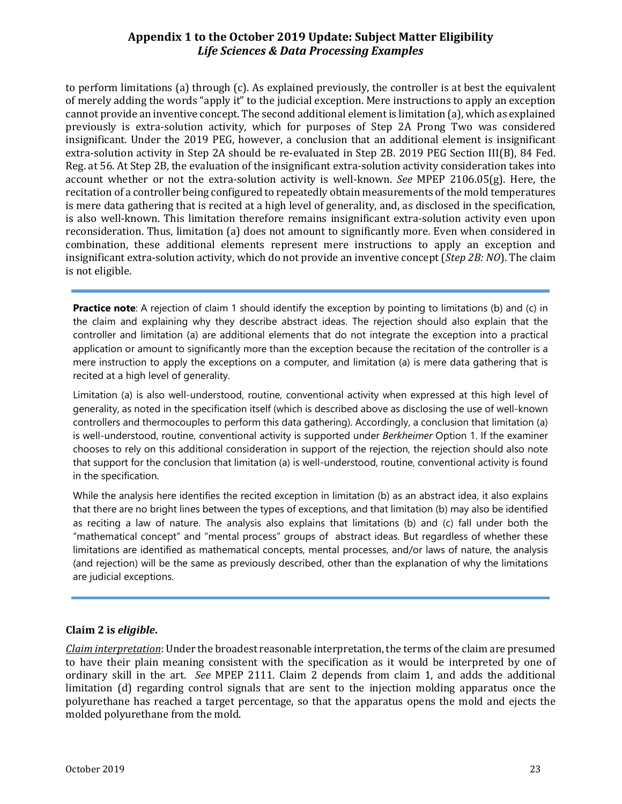to perform limitations (a) through (c). As explained previously, the controller is at best the equivalent of merely adding the words "apply it" to the judicial exception. Mere instructions to apply an exception cannot provide an inventive concept. The second additional element is limitation (a), which as explained previously is extra-solution activity, which for purposes of Step 2A Prong Two was considered insignificant. Under the 2019 PEG, however, a conclusion that an additional element is insignificant extra-solution activity in Step 2A should be re-evaluated in Step 2B. 2019 PEG Section III(B), 84 Fed. Reg. at 56. At Step 2B, the evaluation of the insignificant extra-solution activity consideration takes into account whether or not the extra-solution activity is well-known. *See* MPEP 2106.05(g). Here, the recitation of a controller being configured to repeatedly obtain measurements of the mold temperatures is mere data gathering that is recited at a high level of generality, and, as disclosed in the specification, is also well-known. This limitation therefore remains insignificant extra-solution activity even upon reconsideration. Thus, limitation (a) does not amount to significantly more. Even when considered in combination, these additional elements represent mere instructions to apply an exception and insignificant extra-solution activity, which do not provide an inventive concept (*Step 2B: NO*). The claim is not eligible.

**Practice note**: A rejection of claim 1 should identify the exception by pointing to limitations (b) and (c) in the claim and explaining why they describe abstract ideas. The rejection should also explain that the controller and limitation (a) are additional elements that do not integrate the exception into a practical application or amount to significantly more than the exception because the recitation of the controller is a mere instruction to apply the exceptions on a computer, and limitation (a) is mere data gathering that is recited at a high level of generality.

Limitation (a) is also well-understood, routine, conventional activity when expressed at this high level of generality, as noted in the specification itself (which is described above as disclosing the use of well-known controllers and thermocouples to perform this data gathering). Accordingly, a conclusion that limitation (a) is well-understood, routine, conventional activity is supported under *Berkheimer* Option 1. If the examiner chooses to rely on this additional consideration in support of the rejection, the rejection should also note that support for the conclusion that limitation (a) is well-understood, routine, conventional activity is found in the specification.

While the analysis here identifies the recited exception in limitation (b) as an abstract idea, it also explains that there are no bright lines between the types of exceptions, and that limitation (b) may also be identified as reciting a law of nature. The analysis also explains that limitations (b) and (c) fall under both the "mathematical concept" and "mental process" groups of abstract ideas. But regardless of whether these limitations are identified as mathematical concepts, mental processes, and/or laws of nature, the analysis (and rejection) will be the same as previously described, other than the explanation of why the limitations are judicial exceptions.

#### **Claim 2 is** *eligible***.**

*Claim interpretation*: Under the broadest reasonable interpretation, the terms of the claim are presumed to have their plain meaning consistent with the specification as it would be interpreted by one of ordinary skill in the art. *See* MPEP 2111. Claim 2 depends from claim 1, and adds the additional limitation (d) regarding control signals that are sent to the injection molding apparatus once the polyurethane has reached a target percentage, so that the apparatus opens the mold and ejects the molded polyurethane from the mold.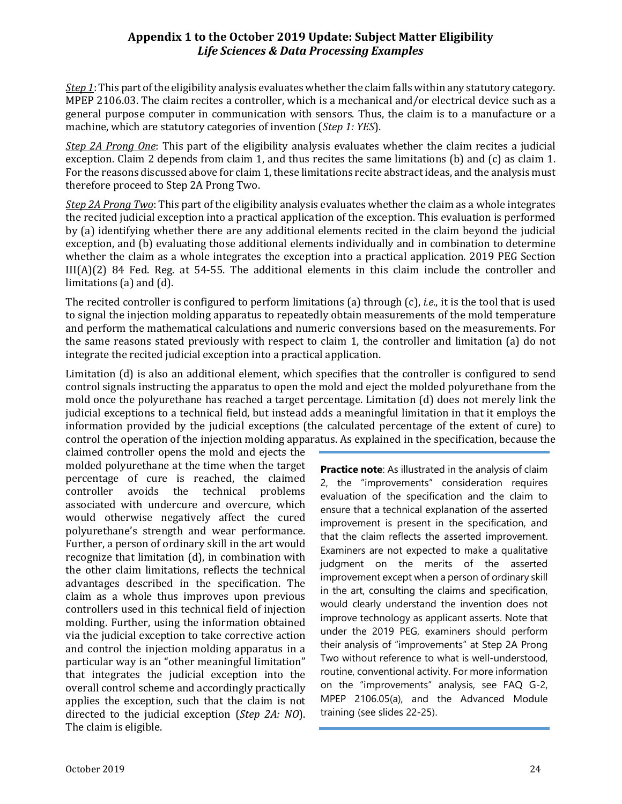*Step 1*: This part of the eligibility analysis evaluates whether the claim falls within any statutory category. MPEP 2106.03. The claim recites a controller, which is a mechanical and/or electrical device such as a general purpose computer in communication with sensors. Thus, the claim is to a manufacture or a machine, which are statutory categories of invention (*Step 1: YES*).

*Step 2A Prong One*: This part of the eligibility analysis evaluates whether the claim recites a judicial exception. Claim 2 depends from claim 1, and thus recites the same limitations (b) and (c) as claim 1. For the reasons discussed above for claim 1, these limitations recite abstract ideas, and the analysis must therefore proceed to Step 2A Prong Two.

*Step 2A Prong Two*: This part of the eligibility analysis evaluates whether the claim as a whole integrates the recited judicial exception into a practical application of the exception. This evaluation is performed by (a) identifying whether there are any additional elements recited in the claim beyond the judicial exception, and (b) evaluating those additional elements individually and in combination to determine whether the claim as a whole integrates the exception into a practical application. 2019 PEG Section III(A)(2) 84 Fed. Reg. at 54-55. The additional elements in this claim include the controller and limitations (a) and (d).

The recited controller is configured to perform limitations (a) through (c), *i.e*., it is the tool that is used to signal the injection molding apparatus to repeatedly obtain measurements of the mold temperature and perform the mathematical calculations and numeric conversions based on the measurements. For the same reasons stated previously with respect to claim 1, the controller and limitation (a) do not integrate the recited judicial exception into a practical application.

Limitation (d) is also an additional element, which specifies that the controller is configured to send control signals instructing the apparatus to open the mold and eject the molded polyurethane from the mold once the polyurethane has reached a target percentage. Limitation (d) does not merely link the judicial exceptions to a technical field, but instead adds a meaningful limitation in that it employs the information provided by the judicial exceptions (the calculated percentage of the extent of cure) to control the operation of the injection molding apparatus. As explained in the specification, because the

claimed controller opens the mold and ejects the molded polyurethane at the time when the target percentage of cure is reached, the claimed<br>controller avoids the technical problems the technical problems associated with undercure and overcure, which would otherwise negatively affect the cured polyurethane's strength and wear performance. Further, a person of ordinary skill in the art would recognize that limitation (d), in combination with the other claim limitations, reflects the technical advantages described in the specification. The claim as a whole thus improves upon previous controllers used in this technical field of injection molding. Further, using the information obtained via the judicial exception to take corrective action and control the injection molding apparatus in a particular way is an "other meaningful limitation" that integrates the judicial exception into the overall control scheme and accordingly practically applies the exception, such that the claim is not directed to the judicial exception (*Step 2A: NO*). The claim is eligible.

**Practice note**: As illustrated in the analysis of claim 2, the "improvements" consideration requires evaluation of the specification and the claim to ensure that a technical explanation of the asserted improvement is present in the specification, and that the claim reflects the asserted improvement. Examiners are not expected to make a qualitative judgment on the merits of the asserted improvement except when a person of ordinary skill in the art, consulting the claims and specification, would clearly understand the invention does not improve technology as applicant asserts. Note that under the 2019 PEG, examiners should perform their analysis of "improvements" at Step 2A Prong Two without reference to what is well-understood, routine, conventional activity. For more information on the "improvements" analysis, see FAQ G-2, MPEP 2106.05(a), and the Advanced Module training (see slides 22-25).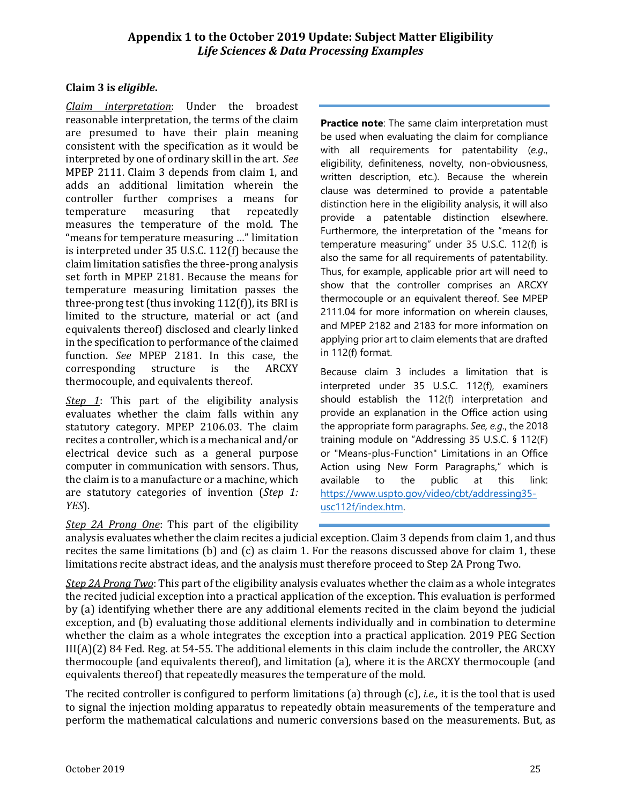#### **Claim 3 is** *eligible***.**

*Claim interpretation*: Under the broadest reasonable interpretation, the terms of the claim are presumed to have their plain meaning consistent with the specification as it would be interpreted by one of ordinary skill in the art. *See* MPEP 2111. Claim 3 depends from claim 1, and adds an additional limitation wherein the controller further comprises a means for<br>temperature measuring that repeatedly temperature measures the temperature of the mold. The "means for temperature measuring …" limitation is interpreted under 35 U.S.C. 112(f) because the claim limitation satisfies the three-prong analysis set forth in MPEP 2181. Because the means for temperature measuring limitation passes the three-prong test (thus invoking 112(f)), its BRI is limited to the structure, material or act (and equivalents thereof) disclosed and clearly linked in the specification to performance of the claimed function. *See* MPEP 2181. In this case, the corresponding structure is the ARCXY corresponding thermocouple, and equivalents thereof.

*Step 1*: This part of the eligibility analysis evaluates whether the claim falls within any statutory category. MPEP 2106.03. The claim recites a controller, which is a mechanical and/or electrical device such as a general purpose computer in communication with sensors. Thus, the claim is to a manufacture or a machine, which are statutory categories of invention (*Step 1: YES*).

**Practice note**: The same claim interpretation must be used when evaluating the claim for compliance with all requirements for patentability (*e.g*., eligibility, definiteness, novelty, non-obviousness, written description, etc.). Because the wherein clause was determined to provide a patentable distinction here in the eligibility analysis, it will also provide a patentable distinction elsewhere. Furthermore, the interpretation of the "means for temperature measuring" under 35 U.S.C. 112(f) is also the same for all requirements of patentability. Thus, for example, applicable prior art will need to show that the controller comprises an ARCXY thermocouple or an equivalent thereof. See MPEP 2111.04 for more information on wherein clauses, and MPEP 2182 and 2183 for more information on applying prior art to claim elements that are drafted in 112(f) format.

Because claim 3 includes a limitation that is interpreted under 35 U.S.C. 112(f), examiners should establish the 112(f) interpretation and provide an explanation in the Office action using the appropriate form paragraphs. *See, e.g*., the 2018 training module on "Addressing 35 U.S.C. § 112(F) or "Means-plus-Function" Limitations in an Office Action using New Form Paragraphs," which is available to the public at this link: [https://www.uspto.gov/video/cbt/addressing35](https://www.uspto.gov/video/cbt/addressing35-usc112f/index.htm) [usc112f/index.htm.](https://www.uspto.gov/video/cbt/addressing35-usc112f/index.htm)

*Step 2A Prong One*: This part of the eligibility

analysis evaluates whether the claim recites a judicial exception. Claim 3 depends from claim 1, and thus recites the same limitations (b) and (c) as claim 1. For the reasons discussed above for claim 1, these limitations recite abstract ideas, and the analysis must therefore proceed to Step 2A Prong Two.

*Step 2A Prong Two*: This part of the eligibility analysis evaluates whether the claim as a whole integrates the recited judicial exception into a practical application of the exception. This evaluation is performed by (a) identifying whether there are any additional elements recited in the claim beyond the judicial exception, and (b) evaluating those additional elements individually and in combination to determine whether the claim as a whole integrates the exception into a practical application. 2019 PEG Section III(A)(2) 84 Fed. Reg. at 54-55. The additional elements in this claim include the controller, the ARCXY thermocouple (and equivalents thereof), and limitation (a), where it is the ARCXY thermocouple (and equivalents thereof) that repeatedly measures the temperature of the mold.

The recited controller is configured to perform limitations (a) through (c), *i.e*., it is the tool that is used to signal the injection molding apparatus to repeatedly obtain measurements of the temperature and perform the mathematical calculations and numeric conversions based on the measurements. But, as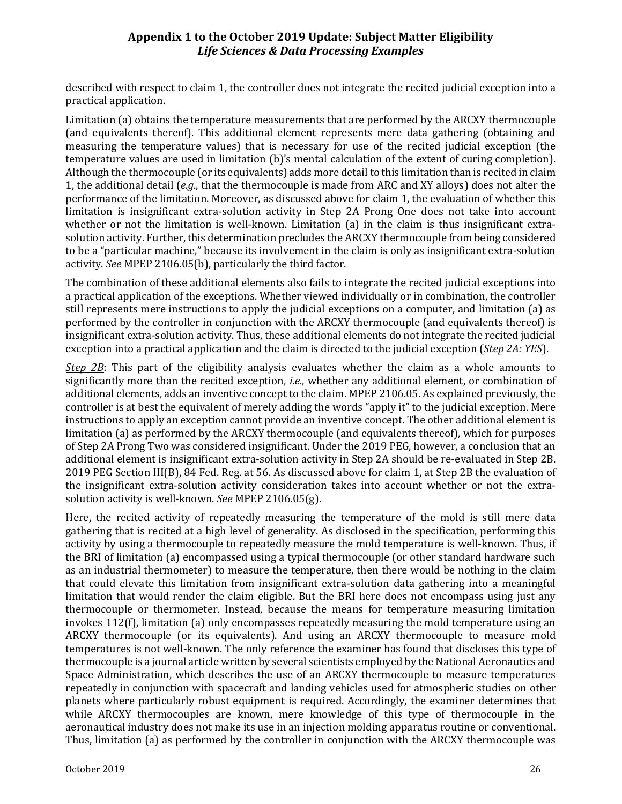described with respect to claim 1, the controller does not integrate the recited judicial exception into a practical application.

Limitation (a) obtains the temperature measurements that are performed by the ARCXY thermocouple (and equivalents thereof). This additional element represents mere data gathering (obtaining and measuring the temperature values) that is necessary for use of the recited judicial exception (the temperature values are used in limitation (b)'s mental calculation of the extent of curing completion). Although the thermocouple (or its equivalents) adds more detail to this limitation than is recited in claim 1, the additional detail (*e.g*., that the thermocouple is made from ARC and XY alloys) does not alter the performance of the limitation. Moreover, as discussed above for claim 1, the evaluation of whether this limitation is insignificant extra-solution activity in Step 2A Prong One does not take into account whether or not the limitation is well-known. Limitation (a) in the claim is thus insignificant extrasolution activity. Further, this determination precludes the ARCXY thermocouple from being considered to be a "particular machine," because its involvement in the claim is only as insignificant extra-solution activity. *See* MPEP 2106.05(b), particularly the third factor.

The combination of these additional elements also fails to integrate the recited judicial exceptions into a practical application of the exceptions. Whether viewed individually or in combination, the controller still represents mere instructions to apply the judicial exceptions on a computer, and limitation (a) as performed by the controller in conjunction with the ARCXY thermocouple (and equivalents thereof) is insignificant extra-solution activity. Thus, these additional elements do not integrate the recited judicial exception into a practical application and the claim is directed to the judicial exception (*Step 2A: YES*).

*Step 2B*: This part of the eligibility analysis evaluates whether the claim as a whole amounts to significantly more than the recited exception, *i.e.*, whether any additional element, or combination of additional elements, adds an inventive concept to the claim. MPEP 2106.05. As explained previously, the controller is at best the equivalent of merely adding the words "apply it" to the judicial exception. Mere instructions to apply an exception cannot provide an inventive concept. The other additional element is limitation (a) as performed by the ARCXY thermocouple (and equivalents thereof), which for purposes of Step 2A Prong Two was considered insignificant. Under the 2019 PEG, however, a conclusion that an additional element is insignificant extra-solution activity in Step 2A should be re-evaluated in Step 2B. 2019 PEG Section III(B), 84 Fed. Reg. at 56. As discussed above for claim 1, at Step 2B the evaluation of the insignificant extra-solution activity consideration takes into account whether or not the extrasolution activity is well-known. *See* MPEP 2106.05(g).

Here, the recited activity of repeatedly measuring the temperature of the mold is still mere data gathering that is recited at a high level of generality. As disclosed in the specification, performing this activity by using a thermocouple to repeatedly measure the mold temperature is well-known. Thus, if the BRI of limitation (a) encompassed using a typical thermocouple (or other standard hardware such as an industrial thermometer) to measure the temperature, then there would be nothing in the claim that could elevate this limitation from insignificant extra-solution data gathering into a meaningful limitation that would render the claim eligible. But the BRI here does not encompass using just any thermocouple or thermometer. Instead, because the means for temperature measuring limitation invokes 112(f), limitation (a) only encompasses repeatedly measuring the mold temperature using an ARCXY thermocouple (or its equivalents). And using an ARCXY thermocouple to measure mold temperatures is not well-known. The only reference the examiner has found that discloses this type of thermocouple is a journal article written by several scientists employed by the National Aeronautics and Space Administration, which describes the use of an ARCXY thermocouple to measure temperatures repeatedly in conjunction with spacecraft and landing vehicles used for atmospheric studies on other planets where particularly robust equipment is required. Accordingly, the examiner determines that while ARCXY thermocouples are known, mere knowledge of this type of thermocouple in the aeronautical industry does not make its use in an injection molding apparatus routine or conventional. Thus, limitation (a) as performed by the controller in conjunction with the ARCXY thermocouple was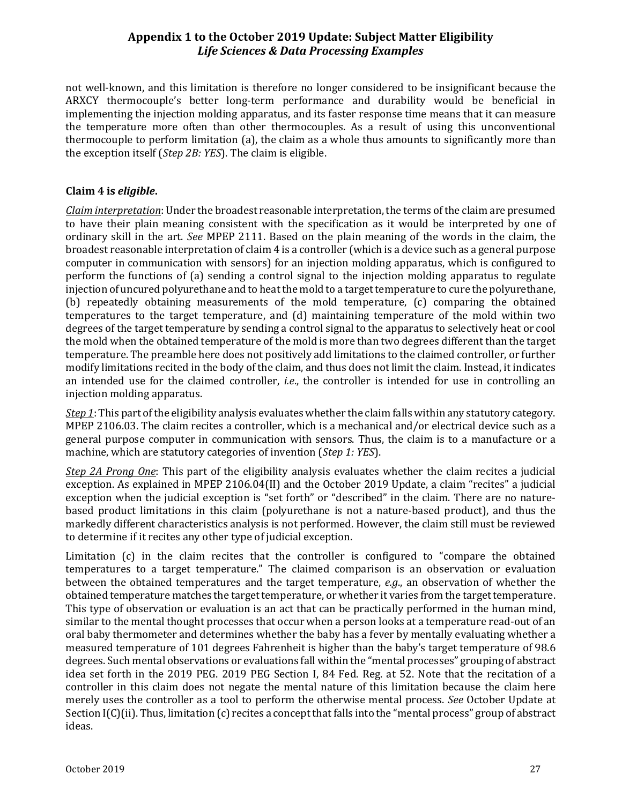not well-known, and this limitation is therefore no longer considered to be insignificant because the ARXCY thermocouple's better long-term performance and durability would be beneficial in implementing the injection molding apparatus, and its faster response time means that it can measure the temperature more often than other thermocouples. As a result of using this unconventional thermocouple to perform limitation (a), the claim as a whole thus amounts to significantly more than the exception itself (*Step 2B: YES*). The claim is eligible.

#### **Claim 4 is** *eligible***.**

*Claim interpretation*: Under the broadest reasonable interpretation, the terms of the claim are presumed to have their plain meaning consistent with the specification as it would be interpreted by one of ordinary skill in the art. *See* MPEP 2111. Based on the plain meaning of the words in the claim, the broadest reasonable interpretation of claim 4 is a controller (which is a device such as a general purpose computer in communication with sensors) for an injection molding apparatus, which is configured to perform the functions of (a) sending a control signal to the injection molding apparatus to regulate injection of uncured polyurethane and to heat the mold to a target temperature to cure the polyurethane, (b) repeatedly obtaining measurements of the mold temperature, (c) comparing the obtained temperatures to the target temperature, and (d) maintaining temperature of the mold within two degrees of the target temperature by sending a control signal to the apparatus to selectively heat or cool the mold when the obtained temperature of the mold is more than two degrees different than the target temperature. The preamble here does not positively add limitations to the claimed controller, or further modify limitations recited in the body of the claim, and thus does not limit the claim. Instead, it indicates an intended use for the claimed controller, *i.e*., the controller is intended for use in controlling an injection molding apparatus.

*Step 1*: This part of the eligibility analysis evaluates whether the claim falls within any statutory category. MPEP 2106.03. The claim recites a controller, which is a mechanical and/or electrical device such as a general purpose computer in communication with sensors. Thus, the claim is to a manufacture or a machine, which are statutory categories of invention (*Step 1: YES*).

*Step 2A Prong One*: This part of the eligibility analysis evaluates whether the claim recites a judicial exception. As explained in MPEP 2106.04(II) and the October 2019 Update, a claim "recites" a judicial exception when the judicial exception is "set forth" or "described" in the claim. There are no naturebased product limitations in this claim (polyurethane is not a nature-based product), and thus the markedly different characteristics analysis is not performed. However, the claim still must be reviewed to determine if it recites any other type of judicial exception.

Limitation (c) in the claim recites that the controller is configured to "compare the obtained temperatures to a target temperature." The claimed comparison is an observation or evaluation between the obtained temperatures and the target temperature, *e.g*., an observation of whether the obtained temperature matches the target temperature, or whether it varies from the target temperature. This type of observation or evaluation is an act that can be practically performed in the human mind, similar to the mental thought processes that occur when a person looks at a temperature read-out of an oral baby thermometer and determines whether the baby has a fever by mentally evaluating whether a measured temperature of 101 degrees Fahrenheit is higher than the baby's target temperature of 98.6 degrees. Such mental observations or evaluations fall within the "mental processes" grouping of abstract idea set forth in the 2019 PEG. 2019 PEG Section I, 84 Fed. Reg. at 52. Note that the recitation of a controller in this claim does not negate the mental nature of this limitation because the claim here merely uses the controller as a tool to perform the otherwise mental process. *See* October Update at Section I(C)(ii). Thus, limitation (c) recites a concept that falls into the "mental process" group of abstract ideas.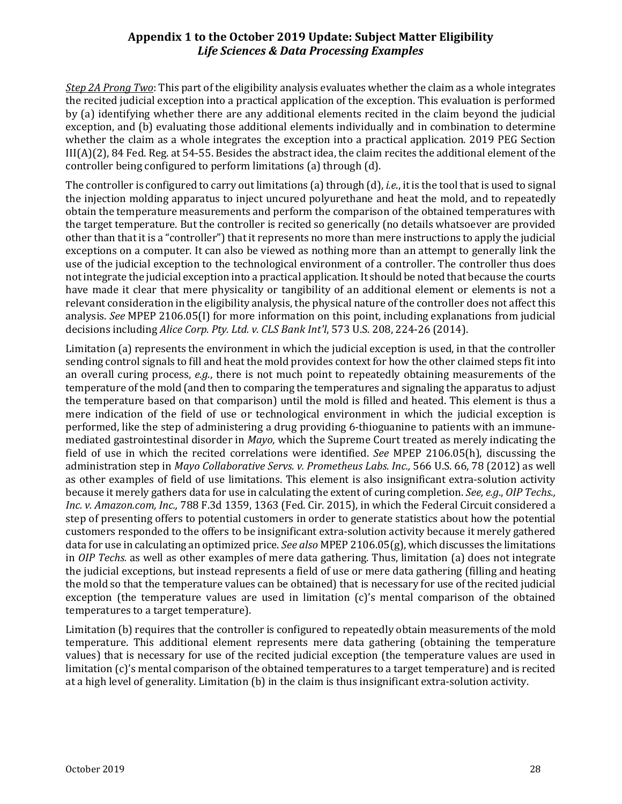*Step 2A Prong Two*: This part of the eligibility analysis evaluates whether the claim as a whole integrates the recited judicial exception into a practical application of the exception. This evaluation is performed by (a) identifying whether there are any additional elements recited in the claim beyond the judicial exception, and (b) evaluating those additional elements individually and in combination to determine whether the claim as a whole integrates the exception into a practical application. 2019 PEG Section III(A)(2), 84 Fed. Reg. at 54-55. Besides the abstract idea, the claim recites the additional element of the controller being configured to perform limitations (a) through (d).

The controller is configured to carry out limitations (a) through (d), *i.e*., it is the tool that is used to signal the injection molding apparatus to inject uncured polyurethane and heat the mold, and to repeatedly obtain the temperature measurements and perform the comparison of the obtained temperatures with the target temperature. But the controller is recited so generically (no details whatsoever are provided other than that it is a "controller") that it represents no more than mere instructions to apply the judicial exceptions on a computer. It can also be viewed as nothing more than an attempt to generally link the use of the judicial exception to the technological environment of a controller. The controller thus does not integrate the judicial exception into a practical application. It should be noted that because the courts have made it clear that mere physicality or tangibility of an additional element or elements is not a relevant consideration in the eligibility analysis, the physical nature of the controller does not affect this analysis. *See* MPEP 2106.05(I) for more information on this point, including explanations from judicial decisions including *Alice Corp. Pty. Ltd. v. CLS Bank Int'l*, 573 U.S. 208, 224-26 (2014).

Limitation (a) represents the environment in which the judicial exception is used, in that the controller sending control signals to fill and heat the mold provides context for how the other claimed steps fit into an overall curing process, *e.g.*, there is not much point to repeatedly obtaining measurements of the temperature of the mold (and then to comparing the temperatures and signaling the apparatus to adjust the temperature based on that comparison) until the mold is filled and heated. This element is thus a mere indication of the field of use or technological environment in which the judicial exception is performed, like the step of administering a drug providing 6-thioguanine to patients with an immunemediated gastrointestinal disorder in *Mayo,* which the Supreme Court treated as merely indicating the field of use in which the recited correlations were identified. *See* MPEP 2106.05(h), discussing the administration step in *Mayo Collaborative Servs. v. Prometheus Labs. Inc.,* 566 U.S. 66, 78 (2012) as well as other examples of field of use limitations. This element is also insignificant extra-solution activity because it merely gathers data for use in calculating the extent of curing completion. *See, e.g*., *OIP Techs., Inc. v. Amazon.com, Inc.,* 788 F.3d 1359, 1363 (Fed. Cir. 2015), in which the Federal Circuit considered a step of presenting offers to potential customers in order to generate statistics about how the potential customers responded to the offers to be insignificant extra-solution activity because it merely gathered data for use in calculating an optimized price. *See also* MPEP 2106.05(g), which discusses the limitations in *OIP Techs.* as well as other examples of mere data gathering. Thus, limitation (a) does not integrate the judicial exceptions, but instead represents a field of use or mere data gathering (filling and heating the mold so that the temperature values can be obtained) that is necessary for use of the recited judicial exception (the temperature values are used in limitation (c)'s mental comparison of the obtained temperatures to a target temperature).

Limitation (b) requires that the controller is configured to repeatedly obtain measurements of the mold temperature. This additional element represents mere data gathering (obtaining the temperature values) that is necessary for use of the recited judicial exception (the temperature values are used in limitation (c)'s mental comparison of the obtained temperatures to a target temperature) and is recited at a high level of generality. Limitation (b) in the claim is thus insignificant extra-solution activity.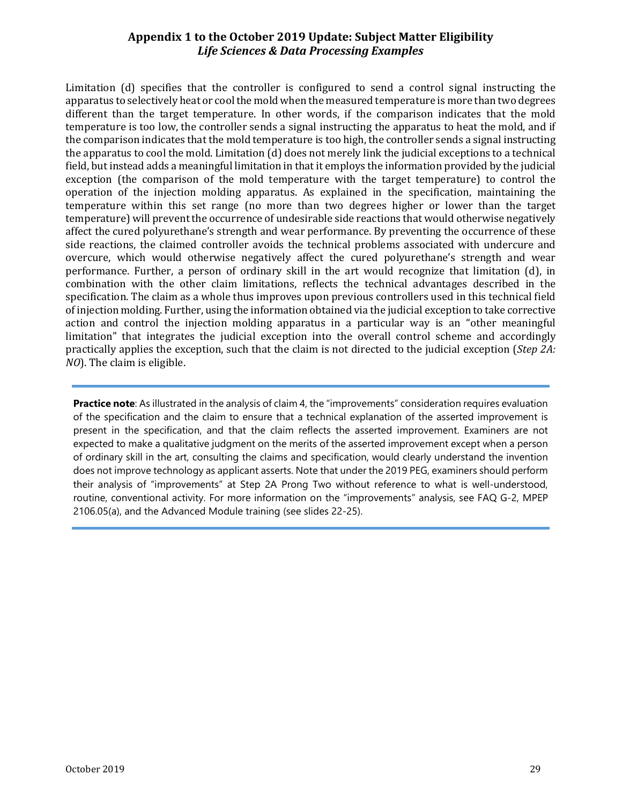Limitation (d) specifies that the controller is configured to send a control signal instructing the apparatus to selectively heat or cool the mold when the measured temperature is more than two degrees different than the target temperature. In other words, if the comparison indicates that the mold temperature is too low, the controller sends a signal instructing the apparatus to heat the mold, and if the comparison indicates that the mold temperature is too high, the controller sends a signal instructing the apparatus to cool the mold. Limitation (d) does not merely link the judicial exceptions to a technical field, but instead adds a meaningful limitation in that it employs the information provided by the judicial exception (the comparison of the mold temperature with the target temperature) to control the operation of the injection molding apparatus. As explained in the specification, maintaining the temperature within this set range (no more than two degrees higher or lower than the target temperature) will prevent the occurrence of undesirable side reactions that would otherwise negatively affect the cured polyurethane's strength and wear performance. By preventing the occurrence of these side reactions, the claimed controller avoids the technical problems associated with undercure and overcure, which would otherwise negatively affect the cured polyurethane's strength and wear performance. Further, a person of ordinary skill in the art would recognize that limitation (d), in combination with the other claim limitations, reflects the technical advantages described in the specification. The claim as a whole thus improves upon previous controllers used in this technical field of injection molding. Further, using the information obtained via the judicial exception to take corrective action and control the injection molding apparatus in a particular way is an "other meaningful limitation" that integrates the judicial exception into the overall control scheme and accordingly practically applies the exception, such that the claim is not directed to the judicial exception (*Step 2A: NO*). The claim is eligible.

**Practice note**: As illustrated in the analysis of claim 4, the "improvements" consideration requires evaluation of the specification and the claim to ensure that a technical explanation of the asserted improvement is present in the specification, and that the claim reflects the asserted improvement. Examiners are not expected to make a qualitative judgment on the merits of the asserted improvement except when a person of ordinary skill in the art, consulting the claims and specification, would clearly understand the invention does not improve technology as applicant asserts. Note that under the 2019 PEG, examiners should perform their analysis of "improvements" at Step 2A Prong Two without reference to what is well-understood, routine, conventional activity. For more information on the "improvements" analysis, see FAQ G-2, MPEP 2106.05(a), and the Advanced Module training (see slides 22-25).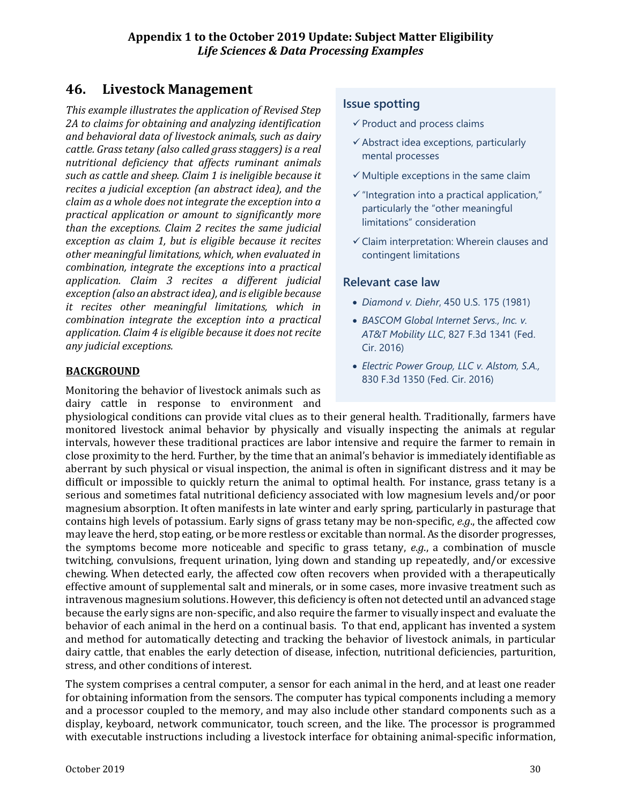# **46. Livestock Management**

*This example illustrates the application of Revised Step 2A to claims for obtaining and analyzing identification and behavioral data of livestock animals, such as dairy cattle. Grass tetany (also called grass staggers) is a real nutritional deficiency that affects ruminant animals such as cattle and sheep. Claim 1 is ineligible because it recites a judicial exception (an abstract idea), and the claim as a whole does not integrate the exception into a practical application or amount to significantly more than the exceptions. Claim 2 recites the same judicial exception as claim 1, but is eligible because it recites other meaningful limitations, which, when evaluated in combination, integrate the exceptions into a practical application. Claim 3 recites a different judicial exception (also an abstract idea), and is eligible because it recites other meaningful limitations, which in combination integrate the exception into a practical application. Claim 4 is eligible because it does not recite any judicial exceptions.*

# **BACKGROUND**

Monitoring the behavior of livestock animals such as dairy cattle in response to environment and

# **Issue spotting**

- $\checkmark$  Product and process claims
- $\checkmark$  Abstract idea exceptions, particularly mental processes
- $\checkmark$  Multiple exceptions in the same claim
- $\checkmark$  "Integration into a practical application," particularly the "other meaningful limitations" consideration
- $\checkmark$  Claim interpretation: Wherein clauses and contingent limitations

# **Relevant case law**

- *Diamond v. Diehr*, 450 U.S. 175 (1981)
- *BASCOM Global Internet Servs., Inc. v. AT&T Mobility LLC*, 827 F.3d 1341 (Fed. Cir. 2016)
- *Electric Power Group, LLC v. Alstom, S.A.,*  830 F.3d 1350 (Fed. Cir. 2016)

physiological conditions can provide vital clues as to their general health. Traditionally, farmers have monitored livestock animal behavior by physically and visually inspecting the animals at regular intervals, however these traditional practices are labor intensive and require the farmer to remain in close proximity to the herd. Further, by the time that an animal's behavior is immediately identifiable as aberrant by such physical or visual inspection, the animal is often in significant distress and it may be difficult or impossible to quickly return the animal to optimal health. For instance, grass tetany is a serious and sometimes fatal nutritional deficiency associated with low magnesium levels and/or poor magnesium absorption. It often manifests in late winter and early spring, particularly in pasturage that contains high levels of potassium. Early signs of grass tetany may be non-specific, *e.g*., the affected cow may leave the herd, stop eating, or be more restless or excitable than normal. As the disorder progresses, the symptoms become more noticeable and specific to grass tetany, *e.g*., a combination of muscle twitching, convulsions, frequent urination, lying down and standing up repeatedly, and/or excessive chewing. When detected early, the affected cow often recovers when provided with a therapeutically effective amount of supplemental salt and minerals, or in some cases, more invasive treatment such as intravenous magnesium solutions. However, this deficiency is often not detected until an advanced stage because the early signs are non-specific, and also require the farmer to visually inspect and evaluate the behavior of each animal in the herd on a continual basis. To that end, applicant has invented a system and method for automatically detecting and tracking the behavior of livestock animals, in particular dairy cattle, that enables the early detection of disease, infection, nutritional deficiencies, parturition, stress, and other conditions of interest.

The system comprises a central computer, a sensor for each animal in the herd, and at least one reader for obtaining information from the sensors. The computer has typical components including a memory and a processor coupled to the memory, and may also include other standard components such as a display, keyboard, network communicator, touch screen, and the like. The processor is programmed with executable instructions including a livestock interface for obtaining animal-specific information,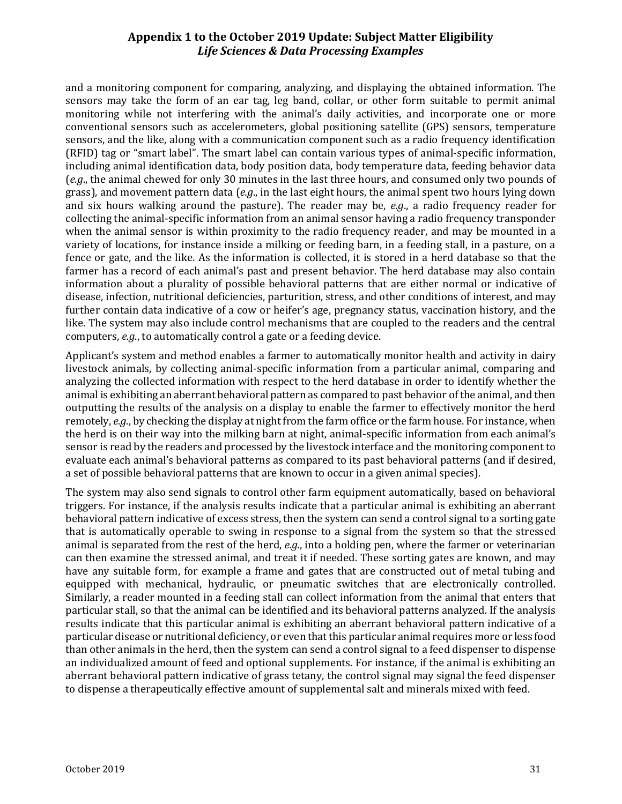and a monitoring component for comparing, analyzing, and displaying the obtained information. The sensors may take the form of an ear tag, leg band, collar, or other form suitable to permit animal monitoring while not interfering with the animal's daily activities, and incorporate one or more conventional sensors such as accelerometers, global positioning satellite (GPS) sensors, temperature sensors, and the like, along with a communication component such as a radio frequency identification (RFID) tag or "smart label". The smart label can contain various types of animal-specific information, including animal identification data, body position data, body temperature data, feeding behavior data (*e.g*., the animal chewed for only 30 minutes in the last three hours, and consumed only two pounds of grass), and movement pattern data (*e.g*., in the last eight hours, the animal spent two hours lying down and six hours walking around the pasture). The reader may be, *e.g*., a radio frequency reader for collecting the animal-specific information from an animal sensor having a radio frequency transponder when the animal sensor is within proximity to the radio frequency reader, and may be mounted in a variety of locations, for instance inside a milking or feeding barn, in a feeding stall, in a pasture, on a fence or gate, and the like. As the information is collected, it is stored in a herd database so that the farmer has a record of each animal's past and present behavior. The herd database may also contain information about a plurality of possible behavioral patterns that are either normal or indicative of disease, infection, nutritional deficiencies, parturition, stress, and other conditions of interest, and may further contain data indicative of a cow or heifer's age, pregnancy status, vaccination history, and the like. The system may also include control mechanisms that are coupled to the readers and the central computers, *e.g*., to automatically control a gate or a feeding device.

Applicant's system and method enables a farmer to automatically monitor health and activity in dairy livestock animals, by collecting animal-specific information from a particular animal, comparing and analyzing the collected information with respect to the herd database in order to identify whether the animal is exhibiting an aberrant behavioral pattern as compared to past behavior of the animal, and then outputting the results of the analysis on a display to enable the farmer to effectively monitor the herd remotely, *e.g*., by checking the display at night from the farm office or the farm house. For instance, when the herd is on their way into the milking barn at night, animal-specific information from each animal's sensor is read by the readers and processed by the livestock interface and the monitoring component to evaluate each animal's behavioral patterns as compared to its past behavioral patterns (and if desired, a set of possible behavioral patterns that are known to occur in a given animal species).

The system may also send signals to control other farm equipment automatically, based on behavioral triggers. For instance, if the analysis results indicate that a particular animal is exhibiting an aberrant behavioral pattern indicative of excess stress, then the system can send a control signal to a sorting gate that is automatically operable to swing in response to a signal from the system so that the stressed animal is separated from the rest of the herd, *e.g.*, into a holding pen, where the farmer or veterinarian can then examine the stressed animal, and treat it if needed. These sorting gates are known, and may have any suitable form, for example a frame and gates that are constructed out of metal tubing and equipped with mechanical, hydraulic, or pneumatic switches that are electronically controlled. Similarly, a reader mounted in a feeding stall can collect information from the animal that enters that particular stall, so that the animal can be identified and its behavioral patterns analyzed. If the analysis results indicate that this particular animal is exhibiting an aberrant behavioral pattern indicative of a particular disease or nutritional deficiency, or even that this particular animal requires more or less food than other animals in the herd, then the system can send a control signal to a feed dispenser to dispense an individualized amount of feed and optional supplements. For instance, if the animal is exhibiting an aberrant behavioral pattern indicative of grass tetany, the control signal may signal the feed dispenser to dispense a therapeutically effective amount of supplemental salt and minerals mixed with feed.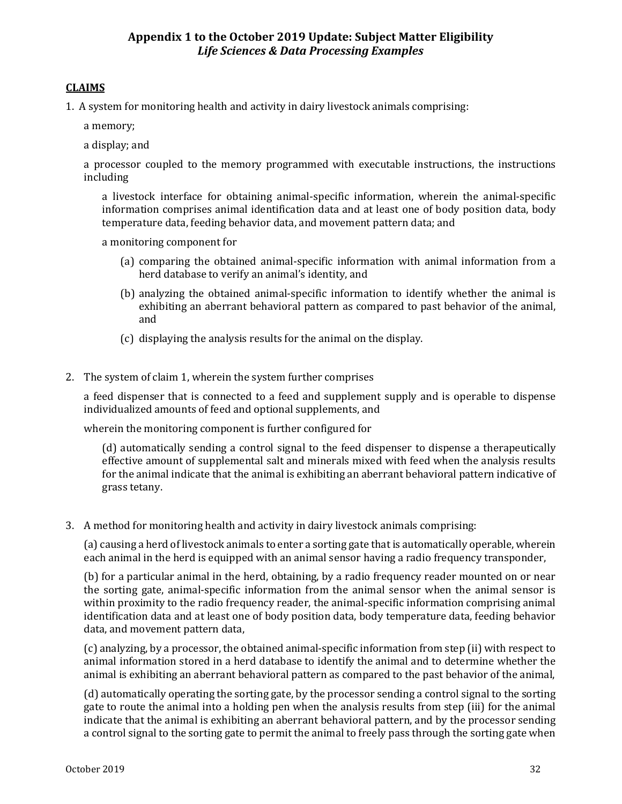#### **CLAIMS**

1. A system for monitoring health and activity in dairy livestock animals comprising:

a memory;

a display; and

a processor coupled to the memory programmed with executable instructions, the instructions including

a livestock interface for obtaining animal-specific information, wherein the animal-specific information comprises animal identification data and at least one of body position data, body temperature data, feeding behavior data, and movement pattern data; and

a monitoring component for

- (a) comparing the obtained animal-specific information with animal information from a herd database to verify an animal's identity, and
- (b) analyzing the obtained animal-specific information to identify whether the animal is exhibiting an aberrant behavioral pattern as compared to past behavior of the animal, and
- (c) displaying the analysis results for the animal on the display.
- 2. The system of claim 1, wherein the system further comprises

a feed dispenser that is connected to a feed and supplement supply and is operable to dispense individualized amounts of feed and optional supplements, and

wherein the monitoring component is further configured for

(d) automatically sending a control signal to the feed dispenser to dispense a therapeutically effective amount of supplemental salt and minerals mixed with feed when the analysis results for the animal indicate that the animal is exhibiting an aberrant behavioral pattern indicative of grass tetany.

3. A method for monitoring health and activity in dairy livestock animals comprising:

(a) causing a herd of livestock animals to enter a sorting gate that is automatically operable, wherein each animal in the herd is equipped with an animal sensor having a radio frequency transponder,

(b) for a particular animal in the herd, obtaining, by a radio frequency reader mounted on or near the sorting gate, animal-specific information from the animal sensor when the animal sensor is within proximity to the radio frequency reader, the animal-specific information comprising animal identification data and at least one of body position data, body temperature data, feeding behavior data, and movement pattern data,

(c) analyzing, by a processor, the obtained animal-specific information from step (ii) with respect to animal information stored in a herd database to identify the animal and to determine whether the animal is exhibiting an aberrant behavioral pattern as compared to the past behavior of the animal,

(d) automatically operating the sorting gate, by the processor sending a control signal to the sorting gate to route the animal into a holding pen when the analysis results from step (iii) for the animal indicate that the animal is exhibiting an aberrant behavioral pattern, and by the processor sending a control signal to the sorting gate to permit the animal to freely pass through the sorting gate when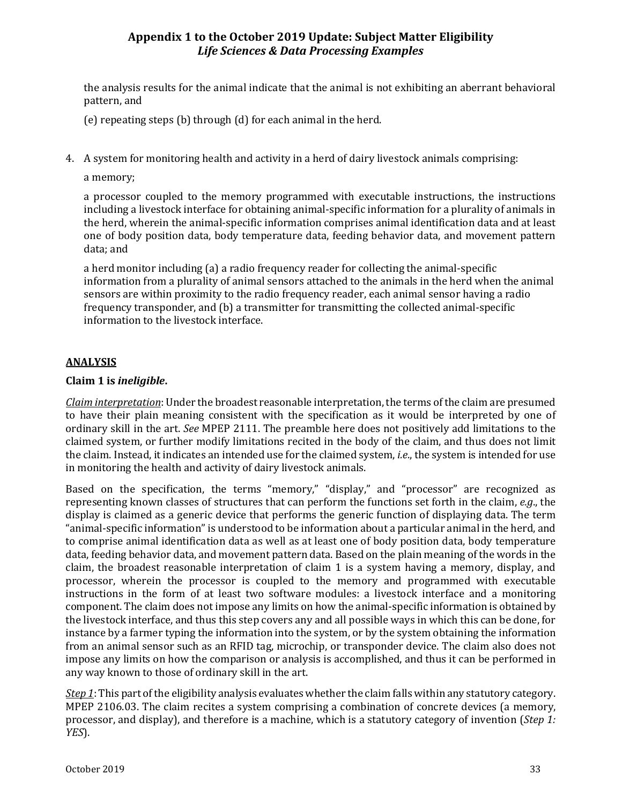the analysis results for the animal indicate that the animal is not exhibiting an aberrant behavioral pattern, and

(e) repeating steps (b) through (d) for each animal in the herd.

4. A system for monitoring health and activity in a herd of dairy livestock animals comprising:

a memory;

a processor coupled to the memory programmed with executable instructions, the instructions including a livestock interface for obtaining animal-specific information for a plurality of animals in the herd, wherein the animal-specific information comprises animal identification data and at least one of body position data, body temperature data, feeding behavior data, and movement pattern data; and

a herd monitor including (a) a radio frequency reader for collecting the animal-specific information from a plurality of animal sensors attached to the animals in the herd when the animal sensors are within proximity to the radio frequency reader, each animal sensor having a radio frequency transponder, and (b) a transmitter for transmitting the collected animal-specific information to the livestock interface.

#### **ANALYSIS**

#### **Claim 1 is** *ineligible***.**

*Claim interpretation*: Under the broadest reasonable interpretation, the terms of the claim are presumed to have their plain meaning consistent with the specification as it would be interpreted by one of ordinary skill in the art. *See* MPEP 2111. The preamble here does not positively add limitations to the claimed system, or further modify limitations recited in the body of the claim, and thus does not limit the claim. Instead, it indicates an intended use for the claimed system, *i.e*., the system is intended for use in monitoring the health and activity of dairy livestock animals.

Based on the specification, the terms "memory," "display," and "processor" are recognized as representing known classes of structures that can perform the functions set forth in the claim, *e.g*., the display is claimed as a generic device that performs the generic function of displaying data. The term "animal-specific information" is understood to be information about a particular animal in the herd, and to comprise animal identification data as well as at least one of body position data, body temperature data, feeding behavior data, and movement pattern data. Based on the plain meaning of the words in the claim, the broadest reasonable interpretation of claim 1 is a system having a memory, display, and processor, wherein the processor is coupled to the memory and programmed with executable instructions in the form of at least two software modules: a livestock interface and a monitoring component. The claim does not impose any limits on how the animal-specific information is obtained by the livestock interface, and thus this step covers any and all possible ways in which this can be done, for instance by a farmer typing the information into the system, or by the system obtaining the information from an animal sensor such as an RFID tag, microchip, or transponder device. The claim also does not impose any limits on how the comparison or analysis is accomplished, and thus it can be performed in any way known to those of ordinary skill in the art.

*Step 1*: This part of the eligibility analysis evaluates whether the claim falls within any statutory category. MPEP 2106.03. The claim recites a system comprising a combination of concrete devices (a memory, processor, and display), and therefore is a machine, which is a statutory category of invention (*Step 1: YES*).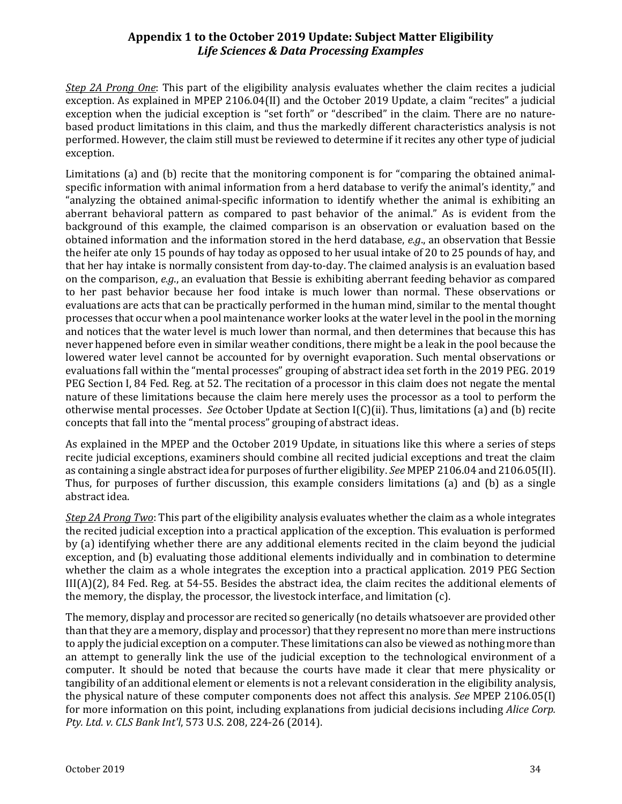*Step 2A Prong One*: This part of the eligibility analysis evaluates whether the claim recites a judicial exception. As explained in MPEP 2106.04(II) and the October 2019 Update, a claim "recites" a judicial exception when the judicial exception is "set forth" or "described" in the claim. There are no naturebased product limitations in this claim, and thus the markedly different characteristics analysis is not performed. However, the claim still must be reviewed to determine if it recites any other type of judicial exception.

Limitations (a) and (b) recite that the monitoring component is for "comparing the obtained animalspecific information with animal information from a herd database to verify the animal's identity," and "analyzing the obtained animal-specific information to identify whether the animal is exhibiting an aberrant behavioral pattern as compared to past behavior of the animal." As is evident from the background of this example, the claimed comparison is an observation or evaluation based on the obtained information and the information stored in the herd database, *e.g*., an observation that Bessie the heifer ate only 15 pounds of hay today as opposed to her usual intake of 20 to 25 pounds of hay, and that her hay intake is normally consistent from day-to-day. The claimed analysis is an evaluation based on the comparison, *e.g*., an evaluation that Bessie is exhibiting aberrant feeding behavior as compared to her past behavior because her food intake is much lower than normal. These observations or evaluations are acts that can be practically performed in the human mind, similar to the mental thought processes that occur when a pool maintenance worker looks at the water level in the pool in the morning and notices that the water level is much lower than normal, and then determines that because this has never happened before even in similar weather conditions, there might be a leak in the pool because the lowered water level cannot be accounted for by overnight evaporation. Such mental observations or evaluations fall within the "mental processes" grouping of abstract idea set forth in the 2019 PEG. 2019 PEG Section I, 84 Fed. Reg. at 52. The recitation of a processor in this claim does not negate the mental nature of these limitations because the claim here merely uses the processor as a tool to perform the otherwise mental processes. *See* October Update at Section I(C)(ii). Thus, limitations (a) and (b) recite concepts that fall into the "mental process" grouping of abstract ideas.

As explained in the MPEP and the October 2019 Update, in situations like this where a series of steps recite judicial exceptions, examiners should combine all recited judicial exceptions and treat the claim as containing a single abstract idea for purposes of further eligibility. *See* MPEP 2106.04 and 2106.05(II). Thus, for purposes of further discussion, this example considers limitations (a) and (b) as a single abstract idea.

*Step 2A Prong Two*: This part of the eligibility analysis evaluates whether the claim as a whole integrates the recited judicial exception into a practical application of the exception. This evaluation is performed by (a) identifying whether there are any additional elements recited in the claim beyond the judicial exception, and (b) evaluating those additional elements individually and in combination to determine whether the claim as a whole integrates the exception into a practical application. 2019 PEG Section III(A)(2), 84 Fed. Reg. at 54-55. Besides the abstract idea, the claim recites the additional elements of the memory, the display, the processor, the livestock interface, and limitation (c).

The memory, display and processor are recited so generically (no details whatsoever are provided other than that they are a memory, display and processor) that they represent no more than mere instructions to apply the judicial exception on a computer. These limitations can also be viewed as nothing more than an attempt to generally link the use of the judicial exception to the technological environment of a computer. It should be noted that because the courts have made it clear that mere physicality or tangibility of an additional element or elements is not a relevant consideration in the eligibility analysis, the physical nature of these computer components does not affect this analysis. *See* MPEP 2106.05(I) for more information on this point, including explanations from judicial decisions including *Alice Corp. Pty. Ltd. v. CLS Bank Int'l*, 573 U.S. 208, 224-26 (2014).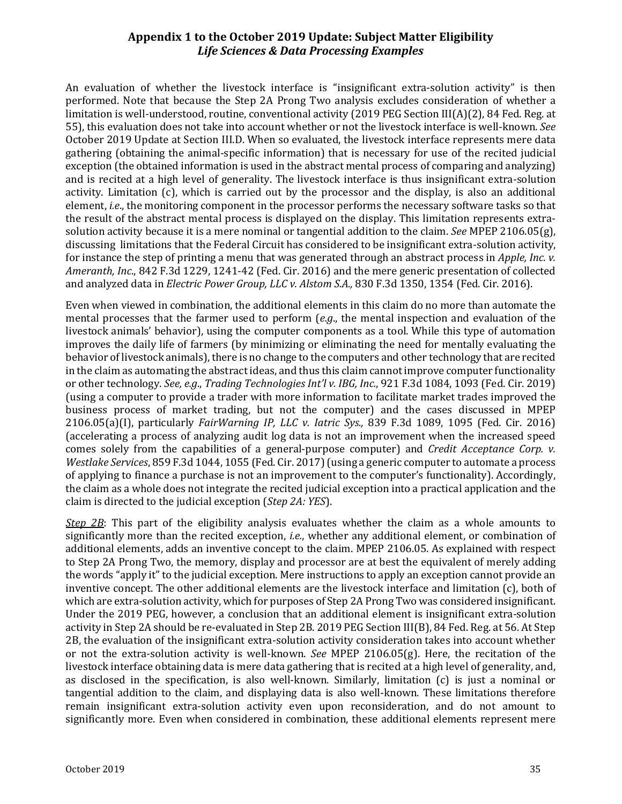An evaluation of whether the livestock interface is "insignificant extra-solution activity" is then performed. Note that because the Step 2A Prong Two analysis excludes consideration of whether a limitation is well-understood, routine, conventional activity (2019 PEG Section III(A)(2), 84 Fed. Reg. at 55), this evaluation does not take into account whether or not the livestock interface is well-known. *See* October 2019 Update at Section III.D. When so evaluated, the livestock interface represents mere data gathering (obtaining the animal-specific information) that is necessary for use of the recited judicial exception (the obtained information is used in the abstract mental process of comparing and analyzing) and is recited at a high level of generality. The livestock interface is thus insignificant extra-solution activity. Limitation (c), which is carried out by the processor and the display, is also an additional element, *i.e*., the monitoring component in the processor performs the necessary software tasks so that the result of the abstract mental process is displayed on the display. This limitation represents extrasolution activity because it is a mere nominal or tangential addition to the claim. *See* MPEP 2106.05(g), discussing limitations that the Federal Circuit has considered to be insignificant extra-solution activity, for instance the step of printing a menu that was generated through an abstract process in *Apple, Inc. v. Ameranth, Inc*., 842 F.3d 1229, 1241-42 (Fed. Cir. 2016) and the mere generic presentation of collected and analyzed data in *Electric Power Group, LLC v. Alstom S.A.,* 830 F.3d 1350, 1354 (Fed. Cir. 2016).

Even when viewed in combination, the additional elements in this claim do no more than automate the mental processes that the farmer used to perform (*e.g*., the mental inspection and evaluation of the livestock animals' behavior), using the computer components as a tool. While this type of automation improves the daily life of farmers (by minimizing or eliminating the need for mentally evaluating the behavior of livestock animals), there is no change to the computers and other technology that are recited in the claim as automating the abstract ideas, and thus this claim cannot improve computer functionality or other technology. *See, e.g*., *Trading Technologies Int'l v. IBG, Inc.*, 921 F.3d 1084, 1093 (Fed. Cir. 2019) (using a computer to provide a trader with more information to facilitate market trades improved the business process of market trading, but not the computer) and the cases discussed in MPEP 2106.05(a)(I), particularly *FairWarning IP, LLC v. Iatric Sys.,* 839 F.3d 1089, 1095 (Fed. Cir. 2016) (accelerating a process of analyzing audit log data is not an improvement when the increased speed comes solely from the capabilities of a general-purpose computer) and *Credit Acceptance Corp. v. Westlake Services*, 859 F.3d 1044, 1055 (Fed. Cir. 2017)(using a generic computer to automate a process of applying to finance a purchase is not an improvement to the computer's functionality). Accordingly, the claim as a whole does not integrate the recited judicial exception into a practical application and the claim is directed to the judicial exception (*Step 2A: YES*).

*Step 2B*: This part of the eligibility analysis evaluates whether the claim as a whole amounts to significantly more than the recited exception, *i.e.*, whether any additional element, or combination of additional elements, adds an inventive concept to the claim. MPEP 2106.05. As explained with respect to Step 2A Prong Two, the memory, display and processor are at best the equivalent of merely adding the words "apply it" to the judicial exception. Mere instructions to apply an exception cannot provide an inventive concept. The other additional elements are the livestock interface and limitation (c), both of which are extra-solution activity, which for purposes of Step 2A Prong Two was considered insignificant. Under the 2019 PEG, however, a conclusion that an additional element is insignificant extra-solution activity in Step 2A should be re-evaluated in Step 2B. 2019 PEG Section III(B), 84 Fed. Reg. at 56. At Step 2B, the evaluation of the insignificant extra-solution activity consideration takes into account whether or not the extra-solution activity is well-known. *See* MPEP 2106.05(g). Here, the recitation of the livestock interface obtaining data is mere data gathering that is recited at a high level of generality, and, as disclosed in the specification, is also well-known. Similarly, limitation (c) is just a nominal or tangential addition to the claim, and displaying data is also well-known. These limitations therefore remain insignificant extra-solution activity even upon reconsideration, and do not amount to significantly more. Even when considered in combination, these additional elements represent mere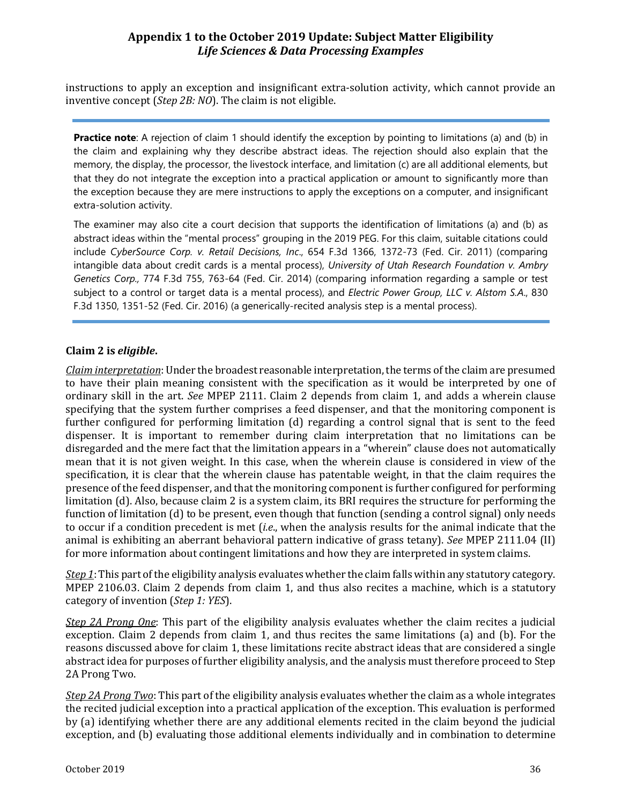instructions to apply an exception and insignificant extra-solution activity, which cannot provide an inventive concept (*Step 2B: NO*). The claim is not eligible.

**Practice note**: A rejection of claim 1 should identify the exception by pointing to limitations (a) and (b) in the claim and explaining why they describe abstract ideas. The rejection should also explain that the memory, the display, the processor, the livestock interface, and limitation (c) are all additional elements, but that they do not integrate the exception into a practical application or amount to significantly more than the exception because they are mere instructions to apply the exceptions on a computer, and insignificant extra-solution activity.

The examiner may also cite a court decision that supports the identification of limitations (a) and (b) as abstract ideas within the "mental process" grouping in the 2019 PEG. For this claim, suitable citations could include *CyberSource Corp. v. Retail Decisions, Inc*., 654 F.3d 1366, 1372-73 (Fed. Cir. 2011) (comparing intangible data about credit cards is a mental process), *University of Utah Research Foundation v. Ambry Genetics Corp.,* 774 F.3d 755, 763-64 (Fed. Cir. 2014) (comparing information regarding a sample or test subject to a control or target data is a mental process), and *Electric Power Group, LLC v. Alstom S.A*., 830 F.3d 1350, 1351-52 (Fed. Cir. 2016) (a generically-recited analysis step is a mental process).

#### **Claim 2 is** *eligible***.**

*Claim interpretation*: Under the broadest reasonable interpretation, the terms of the claim are presumed to have their plain meaning consistent with the specification as it would be interpreted by one of ordinary skill in the art. *See* MPEP 2111. Claim 2 depends from claim 1, and adds a wherein clause specifying that the system further comprises a feed dispenser, and that the monitoring component is further configured for performing limitation (d) regarding a control signal that is sent to the feed dispenser. It is important to remember during claim interpretation that no limitations can be disregarded and the mere fact that the limitation appears in a "wherein" clause does not automatically mean that it is not given weight. In this case, when the wherein clause is considered in view of the specification, it is clear that the wherein clause has patentable weight, in that the claim requires the presence of the feed dispenser, and that the monitoring component is further configured for performing limitation (d). Also, because claim 2 is a system claim, its BRI requires the structure for performing the function of limitation (d) to be present, even though that function (sending a control signal) only needs to occur if a condition precedent is met (*i.e*., when the analysis results for the animal indicate that the animal is exhibiting an aberrant behavioral pattern indicative of grass tetany). *See* MPEP 2111.04 (II) for more information about contingent limitations and how they are interpreted in system claims.

*Step 1*: This part of the eligibility analysis evaluates whether the claim falls within any statutory category. MPEP 2106.03. Claim 2 depends from claim 1, and thus also recites a machine, which is a statutory category of invention (*Step 1: YES*).

*Step 2A Prong One*: This part of the eligibility analysis evaluates whether the claim recites a judicial exception. Claim 2 depends from claim 1, and thus recites the same limitations (a) and (b). For the reasons discussed above for claim 1, these limitations recite abstract ideas that are considered a single abstract idea for purposes of further eligibility analysis, and the analysis must therefore proceed to Step 2A Prong Two.

*Step 2A Prong Two*: This part of the eligibility analysis evaluates whether the claim as a whole integrates the recited judicial exception into a practical application of the exception. This evaluation is performed by (a) identifying whether there are any additional elements recited in the claim beyond the judicial exception, and (b) evaluating those additional elements individually and in combination to determine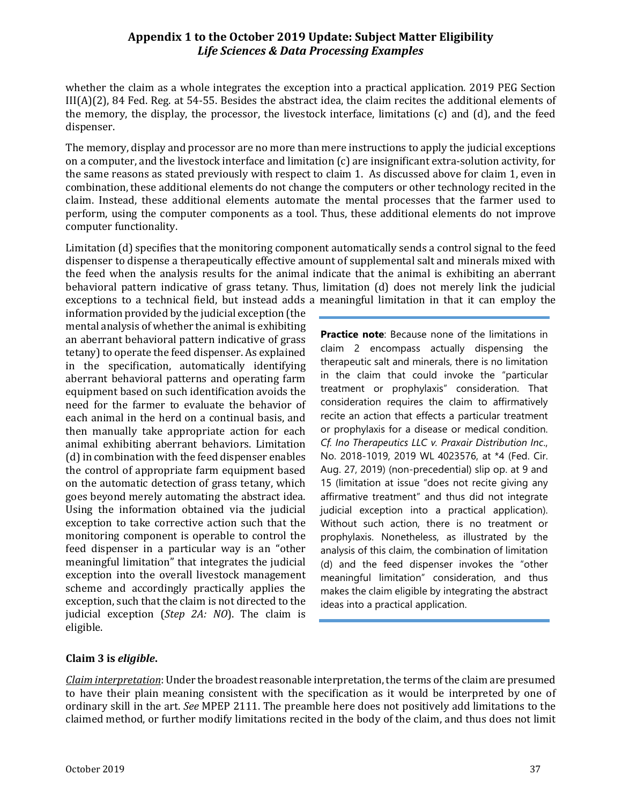whether the claim as a whole integrates the exception into a practical application. 2019 PEG Section III(A)(2), 84 Fed. Reg. at 54-55. Besides the abstract idea, the claim recites the additional elements of the memory, the display, the processor, the livestock interface, limitations (c) and (d), and the feed dispenser.

The memory, display and processor are no more than mere instructions to apply the judicial exceptions on a computer, and the livestock interface and limitation (c) are insignificant extra-solution activity, for the same reasons as stated previously with respect to claim 1. As discussed above for claim 1, even in combination, these additional elements do not change the computers or other technology recited in the claim. Instead, these additional elements automate the mental processes that the farmer used to perform, using the computer components as a tool. Thus, these additional elements do not improve computer functionality.

Limitation (d) specifies that the monitoring component automatically sends a control signal to the feed dispenser to dispense a therapeutically effective amount of supplemental salt and minerals mixed with the feed when the analysis results for the animal indicate that the animal is exhibiting an aberrant behavioral pattern indicative of grass tetany. Thus, limitation (d) does not merely link the judicial exceptions to a technical field, but instead adds a meaningful limitation in that it can employ the

information provided by the judicial exception (the mental analysis of whether the animal is exhibiting an aberrant behavioral pattern indicative of grass tetany) to operate the feed dispenser. As explained in the specification, automatically identifying aberrant behavioral patterns and operating farm equipment based on such identification avoids the need for the farmer to evaluate the behavior of each animal in the herd on a continual basis, and then manually take appropriate action for each animal exhibiting aberrant behaviors. Limitation (d) in combination with the feed dispenser enables the control of appropriate farm equipment based on the automatic detection of grass tetany, which goes beyond merely automating the abstract idea. Using the information obtained via the judicial exception to take corrective action such that the monitoring component is operable to control the feed dispenser in a particular way is an "other meaningful limitation" that integrates the judicial exception into the overall livestock management scheme and accordingly practically applies the exception, such that the claim is not directed to the judicial exception (*Step 2A: NO*). The claim is eligible.

**Practice note:** Because none of the limitations in claim 2 encompass actually dispensing the therapeutic salt and minerals, there is no limitation in the claim that could invoke the "particular treatment or prophylaxis" consideration. That consideration requires the claim to affirmatively recite an action that effects a particular treatment or prophylaxis for a disease or medical condition. *Cf. Ino Therapeutics LLC v. Praxair Distribution Inc*., No. 2018-1019, 2019 WL 4023576, at \*4 (Fed. Cir. Aug. 27, 2019) (non-precedential) slip op. at 9 and 15 (limitation at issue "does not recite giving any affirmative treatment" and thus did not integrate judicial exception into a practical application). Without such action, there is no treatment or prophylaxis. Nonetheless, as illustrated by the analysis of this claim, the combination of limitation (d) and the feed dispenser invokes the "other meaningful limitation" consideration, and thus makes the claim eligible by integrating the abstract ideas into a practical application.

#### **Claim 3 is** *eligible***.**

*Claim interpretation*: Under the broadest reasonable interpretation, the terms of the claim are presumed to have their plain meaning consistent with the specification as it would be interpreted by one of ordinary skill in the art. *See* MPEP 2111. The preamble here does not positively add limitations to the claimed method, or further modify limitations recited in the body of the claim, and thus does not limit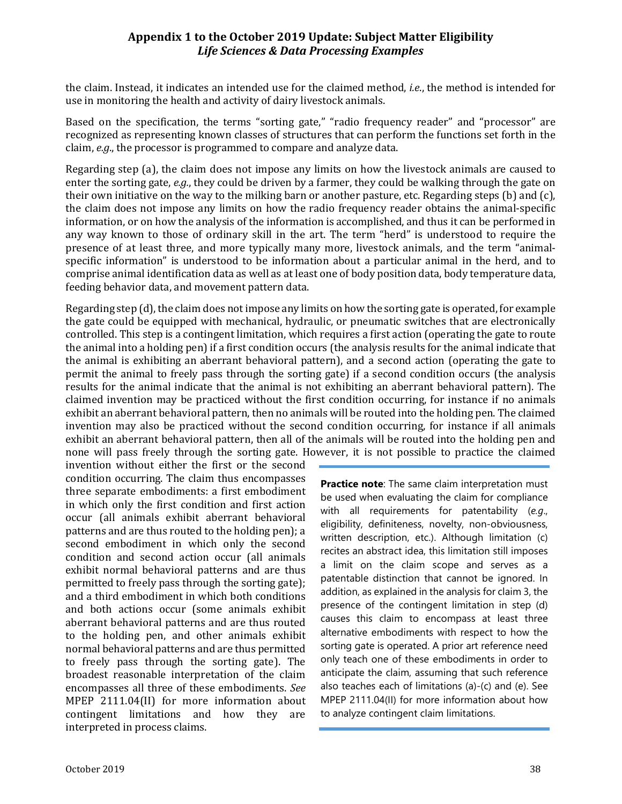the claim. Instead, it indicates an intended use for the claimed method, *i.e*., the method is intended for use in monitoring the health and activity of dairy livestock animals.

Based on the specification, the terms "sorting gate," "radio frequency reader" and "processor" are recognized as representing known classes of structures that can perform the functions set forth in the claim, *e.g*., the processor is programmed to compare and analyze data.

Regarding step (a), the claim does not impose any limits on how the livestock animals are caused to enter the sorting gate, *e.g.*, they could be driven by a farmer, they could be walking through the gate on their own initiative on the way to the milking barn or another pasture, etc. Regarding steps (b) and (c), the claim does not impose any limits on how the radio frequency reader obtains the animal-specific information, or on how the analysis of the information is accomplished, and thus it can be performed in any way known to those of ordinary skill in the art. The term "herd" is understood to require the presence of at least three, and more typically many more, livestock animals, and the term "animalspecific information" is understood to be information about a particular animal in the herd, and to comprise animal identification data as well as at least one of body position data, body temperature data, feeding behavior data, and movement pattern data.

Regarding step (d), the claim does not impose any limits on how the sorting gate is operated, for example the gate could be equipped with mechanical, hydraulic, or pneumatic switches that are electronically controlled. This step is a contingent limitation, which requires a first action (operating the gate to route the animal into a holding pen) if a first condition occurs (the analysis results for the animal indicate that the animal is exhibiting an aberrant behavioral pattern), and a second action (operating the gate to permit the animal to freely pass through the sorting gate) if a second condition occurs (the analysis results for the animal indicate that the animal is not exhibiting an aberrant behavioral pattern). The claimed invention may be practiced without the first condition occurring, for instance if no animals exhibit an aberrant behavioral pattern, then no animals will be routed into the holding pen. The claimed invention may also be practiced without the second condition occurring, for instance if all animals exhibit an aberrant behavioral pattern, then all of the animals will be routed into the holding pen and none will pass freely through the sorting gate. However, it is not possible to practice the claimed

invention without either the first or the second condition occurring. The claim thus encompasses three separate embodiments: a first embodiment in which only the first condition and first action occur (all animals exhibit aberrant behavioral patterns and are thus routed to the holding pen); a second embodiment in which only the second condition and second action occur (all animals exhibit normal behavioral patterns and are thus permitted to freely pass through the sorting gate); and a third embodiment in which both conditions and both actions occur (some animals exhibit aberrant behavioral patterns and are thus routed to the holding pen, and other animals exhibit normal behavioral patterns and are thus permitted to freely pass through the sorting gate). The broadest reasonable interpretation of the claim encompasses all three of these embodiments. *See* MPEP 2111.04(II) for more information about contingent limitations and how they are interpreted in process claims.

**Practice note**: The same claim interpretation must be used when evaluating the claim for compliance with all requirements for patentability (*e.g*., eligibility, definiteness, novelty, non-obviousness, written description, etc.). Although limitation (c) recites an abstract idea, this limitation still imposes a limit on the claim scope and serves as a patentable distinction that cannot be ignored. In addition, as explained in the analysis for claim 3, the presence of the contingent limitation in step (d) causes this claim to encompass at least three alternative embodiments with respect to how the sorting gate is operated. A prior art reference need only teach one of these embodiments in order to anticipate the claim, assuming that such reference also teaches each of limitations (a)-(c) and (e). See MPEP 2111.04(II) for more information about how to analyze contingent claim limitations.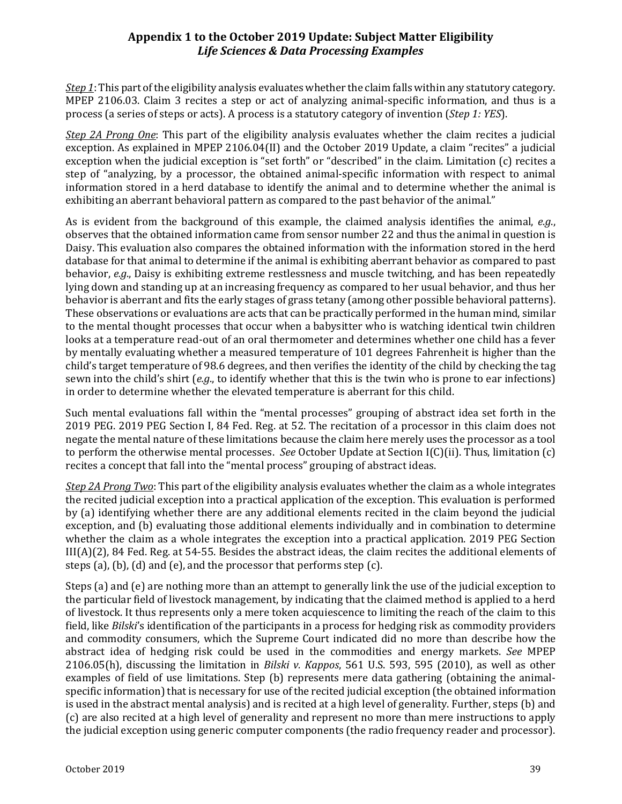*Step 1*: This part of the eligibility analysis evaluates whether the claim falls within any statutory category. MPEP 2106.03. Claim 3 recites a step or act of analyzing animal-specific information, and thus is a process (a series of steps or acts). A process is a statutory category of invention (*Step 1: YES*).

*Step 2A Prong One*: This part of the eligibility analysis evaluates whether the claim recites a judicial exception. As explained in MPEP 2106.04(II) and the October 2019 Update, a claim "recites" a judicial exception when the judicial exception is "set forth" or "described" in the claim. Limitation (c) recites a step of "analyzing, by a processor, the obtained animal-specific information with respect to animal information stored in a herd database to identify the animal and to determine whether the animal is exhibiting an aberrant behavioral pattern as compared to the past behavior of the animal."

As is evident from the background of this example, the claimed analysis identifies the animal, *e.g*., observes that the obtained information came from sensor number 22 and thus the animal in question is Daisy. This evaluation also compares the obtained information with the information stored in the herd database for that animal to determine if the animal is exhibiting aberrant behavior as compared to past behavior, *e.g*., Daisy is exhibiting extreme restlessness and muscle twitching, and has been repeatedly lying down and standing up at an increasing frequency as compared to her usual behavior, and thus her behavior is aberrant and fits the early stages of grass tetany (among other possible behavioral patterns). These observations or evaluations are acts that can be practically performed in the human mind, similar to the mental thought processes that occur when a babysitter who is watching identical twin children looks at a temperature read-out of an oral thermometer and determines whether one child has a fever by mentally evaluating whether a measured temperature of 101 degrees Fahrenheit is higher than the child's target temperature of 98.6 degrees, and then verifies the identity of the child by checking the tag sewn into the child's shirt (*e.g*., to identify whether that this is the twin who is prone to ear infections) in order to determine whether the elevated temperature is aberrant for this child.

Such mental evaluations fall within the "mental processes" grouping of abstract idea set forth in the 2019 PEG. 2019 PEG Section I, 84 Fed. Reg. at 52. The recitation of a processor in this claim does not negate the mental nature of these limitations because the claim here merely uses the processor as a tool to perform the otherwise mental processes. *See* October Update at Section I(C)(ii). Thus, limitation (c) recites a concept that fall into the "mental process" grouping of abstract ideas.

*Step 2A Prong Two*: This part of the eligibility analysis evaluates whether the claim as a whole integrates the recited judicial exception into a practical application of the exception. This evaluation is performed by (a) identifying whether there are any additional elements recited in the claim beyond the judicial exception, and (b) evaluating those additional elements individually and in combination to determine whether the claim as a whole integrates the exception into a practical application. 2019 PEG Section III(A)(2), 84 Fed. Reg. at 54-55. Besides the abstract ideas, the claim recites the additional elements of steps (a), (b), (d) and (e), and the processor that performs step (c).

Steps (a) and (e) are nothing more than an attempt to generally link the use of the judicial exception to the particular field of livestock management, by indicating that the claimed method is applied to a herd of livestock. It thus represents only a mere token acquiescence to limiting the reach of the claim to this field, like *Bilski*'s identification of the participants in a process for hedging risk as commodity providers and commodity consumers, which the Supreme Court indicated did no more than describe how the abstract idea of hedging risk could be used in the commodities and energy markets. *See* MPEP 2106.05(h), discussing the limitation in *Bilski v. Kappos*, 561 U.S. 593, 595 (2010), as well as other examples of field of use limitations. Step (b) represents mere data gathering (obtaining the animalspecific information) that is necessary for use of the recited judicial exception (the obtained information is used in the abstract mental analysis) and is recited at a high level of generality. Further, steps (b) and (c) are also recited at a high level of generality and represent no more than mere instructions to apply the judicial exception using generic computer components (the radio frequency reader and processor).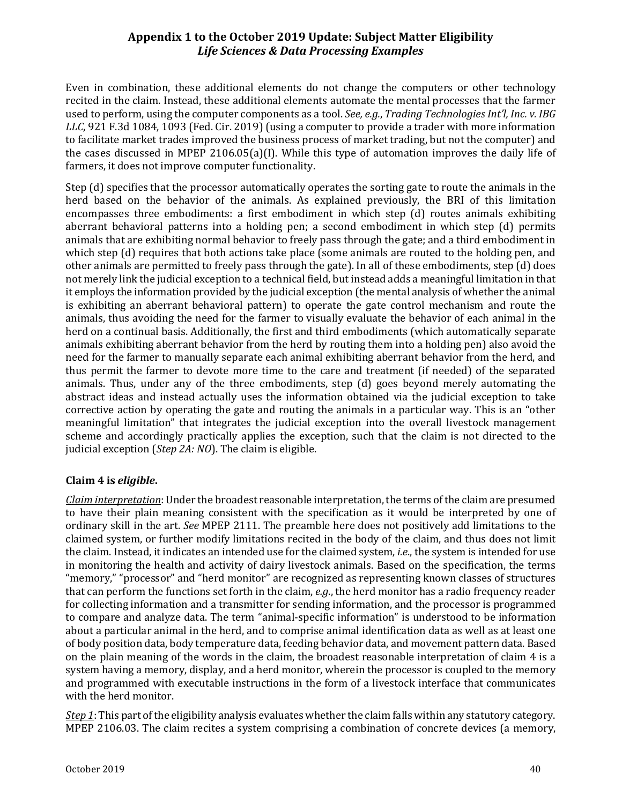Even in combination, these additional elements do not change the computers or other technology recited in the claim. Instead, these additional elements automate the mental processes that the farmer used to perform, using the computer components as a tool. *See, e.g.*, *Trading Technologies Int'l, Inc. v. IBG LLC*, 921 F.3d 1084, 1093 (Fed. Cir. 2019) (using a computer to provide a trader with more information to facilitate market trades improved the business process of market trading, but not the computer) and the cases discussed in MPEP 2106.05(a)(I). While this type of automation improves the daily life of farmers, it does not improve computer functionality.

Step (d) specifies that the processor automatically operates the sorting gate to route the animals in the herd based on the behavior of the animals. As explained previously, the BRI of this limitation encompasses three embodiments: a first embodiment in which step (d) routes animals exhibiting aberrant behavioral patterns into a holding pen; a second embodiment in which step (d) permits animals that are exhibiting normal behavior to freely pass through the gate; and a third embodiment in which step (d) requires that both actions take place (some animals are routed to the holding pen, and other animals are permitted to freely pass through the gate). In all of these embodiments, step (d) does not merely link the judicial exception to a technical field, but instead adds a meaningful limitation in that it employs the information provided by the judicial exception (the mental analysis of whether the animal is exhibiting an aberrant behavioral pattern) to operate the gate control mechanism and route the animals, thus avoiding the need for the farmer to visually evaluate the behavior of each animal in the herd on a continual basis. Additionally, the first and third embodiments (which automatically separate animals exhibiting aberrant behavior from the herd by routing them into a holding pen) also avoid the need for the farmer to manually separate each animal exhibiting aberrant behavior from the herd, and thus permit the farmer to devote more time to the care and treatment (if needed) of the separated animals. Thus, under any of the three embodiments, step (d) goes beyond merely automating the abstract ideas and instead actually uses the information obtained via the judicial exception to take corrective action by operating the gate and routing the animals in a particular way. This is an "other meaningful limitation" that integrates the judicial exception into the overall livestock management scheme and accordingly practically applies the exception, such that the claim is not directed to the judicial exception (*Step 2A: NO*). The claim is eligible.

# **Claim 4 is** *eligible***.**

*Claim interpretation*: Under the broadest reasonable interpretation, the terms of the claim are presumed to have their plain meaning consistent with the specification as it would be interpreted by one of ordinary skill in the art. *See* MPEP 2111. The preamble here does not positively add limitations to the claimed system, or further modify limitations recited in the body of the claim, and thus does not limit the claim. Instead, it indicates an intended use for the claimed system, *i.e*., the system is intended for use in monitoring the health and activity of dairy livestock animals. Based on the specification, the terms "memory," "processor" and "herd monitor" are recognized as representing known classes of structures that can perform the functions set forth in the claim, *e.g*., the herd monitor has a radio frequency reader for collecting information and a transmitter for sending information, and the processor is programmed to compare and analyze data. The term "animal-specific information" is understood to be information about a particular animal in the herd, and to comprise animal identification data as well as at least one of body position data, body temperature data, feeding behavior data, and movement pattern data. Based on the plain meaning of the words in the claim, the broadest reasonable interpretation of claim 4 is a system having a memory, display, and a herd monitor, wherein the processor is coupled to the memory and programmed with executable instructions in the form of a livestock interface that communicates with the herd monitor.

*Step 1*: This part of the eligibility analysis evaluates whether the claim falls within any statutory category. MPEP 2106.03. The claim recites a system comprising a combination of concrete devices (a memory,